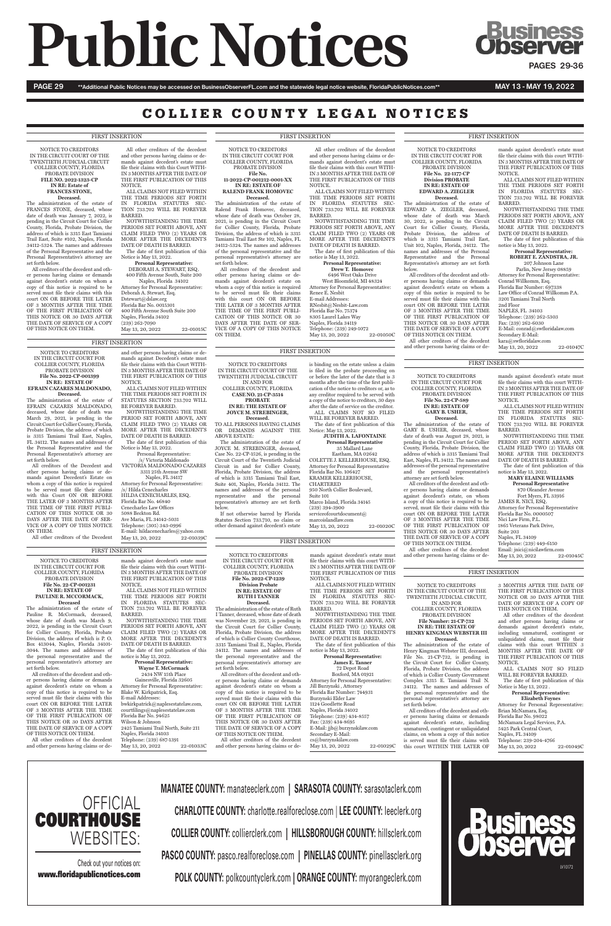# **Public Notices Changes**

PAGE 29 \*\*Additional Public Notices may be accessed on BusinessObserverFL.com and the statewide legal notice website, FloridaPublicNotices.com\*\* MAY 13 - MAY 19, 2022

### COLLIER COUNTY LEGAL NOTICES

NOTICE TO CREDITORS IN THE CIRCUIT COURT OF THE TWENTIETH JUDICIAL CIRCUIT COLLIER COUNTY, FLORIDA PROBATE DIVISION **FILE NO. 2022-1323-CP IN RE: Estate of FRANCES STONE,**

#### **Deceased.**

The administration of the estate of FRANCES STONE, deceased, whose date of death was January 7, 2022, is pending in the Circuit Court for Collier County, Florida, Probate Division, the address of which is 3315 East Tamiami Trail East, Suite #102, Naples, Florida 34112-5324. The names and addresses of the Personal Representative and the Personal Representative's attorney are set forth below.

> Deborah A. Stewart, Esq. Dstewart@dslaw.org Florida Bar No. 0015301 400 Fifth Avenue South Suite 200 Naples, Florida 34102 (239) 262-7090 May 13, 20, 2022 22-01015C

All creditors of the decedent and other persons having claims or demands against decedent's estate on whom a copy of this notice is required to be served must file their claims with this court ON OR BEFORE THE LATER OF 3 MONTHS AFTER THE TIME OF THE FIRST PUBLICATION OF THIS NOTICE OR 30 DAYS AFTER THE DATE OF SERVICE OF A COPY OF THIS NOTICE ON THEM.

All other creditors of the decedent and other persons having claims or demands against decedent's estate must file their claims with this Court WITH-IN 3 MONTHS AFTER THE DATE OF THE FIRST PUBLICATION OF THIS NOTICE.

ALL CLAIMS NOT FILED WITHIN THE TIME PERIODS SET FORTH IN FLORIDA STATUTES SEC-TION 733.702 WILL BE FOREVER BARRED.

NOTWITHSTANDING THE TIME PERIODS SET FORTH ABOVE, ANY CLAIM FILED TWO (2) YEARS OR MORE AFTER THE DECEDENT'S DATE OF DEATH IS BARRED.

#### The date of first publication of this Notice is May 13, 2022. **Personal Representative:** DEBORAH A. STEWART, ESQ.

400 Fifth Avenue South, Suite 200 Naples, Florida 34102 Attorney for Personal Representative:

> NOTICE TO CREDITORS IN THE CIRCUIT COURT FOR COLLIER COUNTY, FLORIDA PROBATE DIVISION **File No. 2022-CP-1239 Division Probate IN RE: ESTATE OF**

#### **RUTH I TANNER Deceased.**

The administration of the estate of Ruth I Tanner, deceased, whose date of death was November 29, 2021, is pending in the Circuit Court for Collier County, Florida, Probate Division, the address of which is Collier County Courthouse, 3315 Tamiami Trail E., Naples, Florida 34112. The names and addresses of the personal representative and the personal representative's attorney are

set forth below. All creditors of the decedent and oth-

2434 NW 15th Place Gainesville, Florida 32605 Attorney for Personal Representative: Blake W. Kirkpatrick, Esq. E-mail Addresses: bwkirkpatrick@naplesestatelaw.com, courtfilings@naplesestatelaw.com Florida Bar No. 94625 Wilson & Johnson 2425 Tamiami Trail North, Suite 211 Naples, Florida 34103 Telephone: (239) 687-1391 May 13, 20, 2022 22-01033C

er persons having claims or demands against decedent's estate on whom a copy of this notice is required to be served must file their claims with this court ON OR BEFORE THE LATER OF 3 MONTHS AFTER THE TIME OF THE FIRST PUBLICATION OF THIS NOTICE OR 30 DAYS AFTER THE DATE OF SERVICE OF A COPY OF THIS NOTICE ON THEM.

All other creditors of the decedent and other persons having claims or de-

Boxford, MA 01921 Attorney for Personal Representative: Jill Burzynski , Attorney Florida Bar Number: 744931 Burzynski Elder Law 1124 Goodlette Road Naples, Florida 34102 Telephone: (239) 434-8557 Fax: (239) 434-8695 E-Mail: jjb@burzynskilaw.com Secondary E-Mail: cs@burzynskilaw.com May 13, 20, 2022 22-01029C

mands against decedent's estate must

file their claims with this court WITH-IN 3 MONTHS AFTER THE DATE OF THE FIRST PUBLICATION OF THIS

NOTICE.

ALL CLAIMS NOT FILED WITHIN THE TIME PERIODS SET FORTH IN FLORIDA STATUTES SEC-TION 733.702 WILL BE FOREVER

BARRED.

NOTWITHSTANDING THE TIME PERIODS SET FORTH ABOVE, ANY CLAIM FILED TWO (2) YEARS OR MORE AFTER THE DECEDENT'S DATE OF DEATH IS BARRED. The date of first publication of this

notice is May 13, 2022. **Personal Representative: James E. Tanner**

72 Depot Road

/s/ Victoria Maldonado VICTORIA MALDONADO CAZARES 3311 25th Avenue SW Naples, FL 34117 Attorney for Personal Representative: /s/ Hilda Cenecharles HILDA CENECHARLES, ESQ. Florida Bar No. 46840 Cenecharles Law Offices 5088 Beckton Rd. Ave Maria, FL 34142-5031 Telephone: (305) 343-0996 E-mail: hildacenecharles@yahoo.com May 13, 20, 2022 22-01039C

NOTICE TO CREDITORS IN THE CIRCUIT COURT FOR COLLIER COUNTY, FLORIDA PROBATE DIVISION **File No. 22-CP-001231 IN RE: ESTATE OF PAULINE R. MCCORMACK, Deceased** The administration of the estate of Pauline R. McCormack, deceased, whose date of death was March 9, 2022, is pending in the Circuit Court for Collier County, Florida, Probate Division, the address of which is P. O. Box 413044, Naples, Florida 34101- 3044. The names and addresses of the personal representative and the personal representative's attorney are

#### or before the later of the date that is 3 months after the time of the first publication of the notice to creditors or, as to any creditor required to be served with a copy of the notice to creditors, 30 days after the date of service on the creditor. WILL BE FOREVER BARRED.

set forth below.

COLETTE J. KELLERHOUSE, ESQ. Attorney for Personal Representative Florida Bar No. 106427 KRAMER KELLERHOUSE, CHARTERED 950 North Collier Boulevard, Suite 101 Marco Island, Florida 34145 (239) 394-3900 serviceofcourtdocument@

All creditors of the decedent and other persons having claims or demands against decedent's estate on whom a copy of this notice is required to be served must file their claims with this court ON OR BEFORE THE LATER OF 3 MONTHS AFTER THE TIME OF THE FIRST PUBLICATION OF THIS NOTICE OR 30 DAYS AFTER THE DATE OF SERVICE OF A COPY OF THIS NOTICE ON THEM.

All other creditors of the decedent and other persons having claims or de-

mands against decedent's estate must file their claims with this court WITH-IN 3 MONTHS AFTER THE DATE OF THE FIRST PUBLICATION OF THIS NOTICE.

ALL CLAIMS NOT FILED WITHIN THE TIME PERIODS SET FORTH IN FLORIDA STATUTES SEC-TION 733.702 WILL BE FOREVER

BARRED. NOTWITHSTANDING THE TIME PERIODS SET FORTH ABOVE, ANY CLAIM FILED TWO (2) YEARS OR MORE AFTER THE DECEDENT'S DATE OF DEATH IS BARRED.

**Personal Representative** 870 Oleander Avenue Fort Myers, FL 33916 JAMES R. NICI, ESQ. Attorney for Personal Representative Florida Bar No. 0000507 Nici Law Firm, P.L. 1865 Veterans Park Drive, Suite 203 Naples, FL 34109 Telephone: (239) 449-6150 Email: jnici@nicilawfirm.com May 13, 20, 2022 22-01045C

The date of first publication of this notice is May 13, 2022. **Personal Representative:**

**Wayne T. McCormack**

NOTICE TO CREDITORS IN THE CIRCUIT COURT FOR COLLIER COUNTY, FLORIDA PROBATE DIVISION **File No. 2022-CP-001399 IN RE: ESTATE OF EFRAIN CAZARES MALDONADO, Deceased.** The administration of the estate of EFRAIN CAZARES MALDONADO, deceased, whose date of death was March 29, 2021, is pending in the Circuit Court for Collier County, Florida, Probate Division, the address of which is 3315 Tamiami Trail East, Naples, FL 34112. The names and addresses of the Personal Representative and the Personal Representative's attorney are

set forth below.

All creditors of the Decedent and other persons having claims or demands against Decedent's Estate on whom a copy of this notice is required to be served must file their claims with this Court ON OR BEFORE THE LATER OF 3 MONTHS AFTER THE TIME OF THE FIRST PUBLI-CATION OF THIS NOTICE OR 30 DAYS AFTER THE DATE OF SER-VICE OF A COPY OF THIS NOTICE

ON THEM.

All other creditors of the Decedent

and other persons having claims or demands against Decedent's estate must file their claims with this Court WITH-IN 3 MONTHS AFTER THE DATE OF THE FIRST PUBLICATION OF THIS NOTICE.

ALL CLAIMS NOT FILED WITHIN THE TIME PERIODS SET FORTH IN STATUTES SECTION 733.702 WILL

BE FOREVER BARRED. NOTWITHSTANDING THE TIME PERIOD SET FORTH ABOVE, ANY CLAIM FILED TWO (2) YEARS OR MORE AFTER THE DECEDENT'S DATE OF DEATH IS BARRED.

> Attorney for Personal Representative: Brian McNamara, Esq. Florida Bar No. 98022 McNamara Legal Services, P.A. 5425 Park Central Court, Naples, FL 34109 Telephone: 239-204-4766 May 13, 20, 2022 22-01049C

The date of first publication of this Notice is May 13, 2022. Personal Representative:

NOTICE TO CREDITORS IN THE CIRCUIT COURT OF THE TWENTIETH JUDICIAL CIRCUIT IN AND FOR

#### COLLIER COUNTY, FLORIDA **CASE NO. 21-CP-3514 PROBATE IN RE: THE ESTATE OF JOYCE M. STREBINGER,**

**Deceased.** TO ALL PERSONS HAVING CLAIMS OR DEMANDS AGAINST THE

ABOVE ESTATE: The administration of the estate of JOYCE M. STREBINGER, deceased, Case No. 22-CP-1526, is pending in the Circuit Court of the Twentieth Judicial Circuit in and for Collier County, Florida, Probate Division, the address of which is 3315 Tamiami Trail East, Suite 401, Naples, Florida 34112. The names and addresses of the personal representative and the personal representative's attorney are set forth below.

Renee E. Nesbit E-mail Addresses: RNesbit@Nesbit-Law.com Florida Bar No. 75374 8305 Laurel Lakes Way Naples, Florida 34119 Telephone: (239) 249-1072 May 13, 20, 2022 22-01050C

If not otherwise barred by Florida Statutes Section 733.710, no claim or other demand against decedent's estate

**OFFICIAL COURTHOUSE** WEBSITES: is binding on the estate unless a claim is filed in the probate proceeding on ALL CLAIMS NOT SO FILED The date of first publication of this

Notice: May 13, 2022. **JUDITH A. LAFONTAINE Personal Representative** 35 Mallard Lane

Eastham, MA 02642

marcoislandlaw.com

NOTICE TO CREDITORS IN THE CIRCUIT COURT FOR COLLIER COUNTY, FLORIDA PROBATE DIVISION **File No. 22-CP-589 IN RE: ESTATE OF GARY B. USHER, Deceased.**  The administration of the estate of GARY B. USHER, deceased, whose date of death was August 28, 2021, is pending in the Circuit Court for Collier County, Florida, Probate Division, the

address of which is 3315 Tamiami Trail East, Naples, FL 34112. The names and addresses of the personal representative and the personal representative's attorney are set forth below. All creditors of the decedent and oth-

er persons having claims or demands against decedent's estate, on whom a copy of this notice is required to be served, must file their claims with this court ON OR BEFORE THE LATER OF 3 MONTHS AFTER THE TIME OF THE FIRST PUBLICATION OF THIS NOTICE OR 30 DAYS AFTER THE DATE OF SERVICE OF A COPY OF THIS NOTICE ON THEM.

All other creditors of the decedent and other persons having claims or de-

mands against decedent's estate must file their claims with this court WITH-IN 3 MONTHS AFTER THE DATE OF THE FIRST PUBLICATION OF THIS NOTICE.

ALL CLAIMS NOT FILED WITHIN THE TIME PERIODS SET FORTH IN FLORIDA STATUTES SEC-TION 733.702 WILL BE FOREVER BARRED.

NOTWITHSTANDING THE TIME PERIOD SET FORTH ABOVE, ANY CLAIM FILED TWO (2) YEARS OR MORE AFTER THE DECEDENT'S DATE OF DEATH IS BARRED.

The date of first publication of this notice is May 13, 2022. **MARY ELAINE WILLIAMS**

NOTICE TO CREDITORS IN THE CIRCUIT COURT FOR COLLIER COUNTY, FLORIDA PROBATE DIVISION **File No. 22-1177-CP Division PROBATE IN RE: ESTATE OF EDWARD A. ZIEGLER**

**Deceased.** The administration of the estate of EDWARD A. ZIEGLER, deceased, whose date of death was March 30, 2022, is pending in the Circuit Court for Collier County, Florida, Probate Division, the address of which is 3315 Tamiami Trail East, Unit 102, Naples, Florida, 34112. The names and addresses of the Personal Representative and the Personal Representative's attorney are set forth

below. All creditors of the decedent and other persons having claims or demands against decedent's estate on whom a copy of this notice is required to be served must file their claims with this court ON OR BEFORE THE LATER OF 3 MONTHS AFTER THE TIME OF THE FIRST PUBLICATION OF THIS NOTICE OR 30 DAYS AFTER THE DATE OF SERVICE OF A COPY OF THIS NOTICE ON THEM. All other creditors of the decedent and other persons having claims or de-

mands against decedent's estate must file their claims with this court WITH-IN 3 MONTHS AFTER THE DATE OF THE FIRST PUBLICATION OF THIS NOTICE.

ALL CLAIMS NOT FILED WITHIN THE TIME PERIODS SET FORTH IN FLORIDA STATUTES SEC-TION 733.702 WILL BE FOREVER BARRED.

NOTWITHSTANDING THE TIME PERIODS SET FORTH ABOVE, ANY CLAIM FILED TWO (2) YEARS OR MORE AFTER THE DECEDENT'S DATE OF DEATH IS BARRED. The date of first publication of this

notice is May 13, 2022. **Personal Representative:**

**ROBERT E. ZANDSTRA, JR.** 207 Johnson Lane

Parlin, New Jersey 08859 Attorney for Personal Representative: Conrad Willkomm, Esq. Florida Bar Number: 697338 Law Office of Conrad Willkomm P.A. 3201 Tamiami Trail North 2nd Floor NAPLES, FL 34103 Telephone: (239) 262-5303 Fax: (239) 262-6030 E-Mail: conrad@swfloridalaw.com Secondary E-Mail: kara@swfloridalaw.com May 13, 20, 2022 22-01047C

NOTICE TO CREDITORS IN THE CIRCUIT COURT OF THE TWENTIETH JUDICIAL CIRCUIT, IN AND FOR

#### COLLIER COUNTY, FLORIDA PROBATE DIVISION **File Number: 21-CP-732 IN RE: THE ESTATE OF HENRY KINGMAN WEBSTER III**

**Deceased.**  The administration of the estate of Henry Kingman Webster III, deceased, File No. 21-CP-732, is pending in the Circuit Court for Collier County, Florida, Probate Division, the address of which is Collier County Government Complex 3315 E. Tamiami Trail N. 34112. The names and addresses of the personal representative and the personal representative's attorney are set forth below.

All creditors of the decedent and other persons having claims or demands against decedent's estate, including unmatured, contingent or unliquidated claims, on whom a copy of this notice is served must file their claims with this court WITHIN THE LATER OF

3 MONTHS AFTER THE DATE OF THE FIRST PUBLICATION OF THIS NOTICE OR 30 DAYS AFTER THE DATE OF SERVICE OF A COPY OF THIS NOTICE ON THEM.

All other creditors of the decedent and other persons having claims or demands against decedent's estate, including unmatured, contingent or unliquidated claims, must file their claims with this court WITHIN 3 MONTHS AFTER THE DATE OF THE FIRST PUBLICATION OF THIS NOTICE.

ALL CLAIMS NOT SO FILED

May 13, 20, 2022 22-01020C

WILL BE FOREVER BARRED.

The date of first publication of this Notice is May 13, 2022 .

**Personal Representative: Elizabeth Foynes**

NOTICE TO CREDITORS IN THE CIRCUIT COURT FOR COLLIER COUNTY, FLORIDA PROBATE DIVISION **File No.** 

#### **11-2022-CP-001212-0001-XX IN RE: ESTATE OF RALEND FRANK HOMOVEC**

**Deceased.**

The administration of the estate of Ralend Frank Homovec, deceased, whose date of death was October 28, 2021, is pending in the Circuit Court for Collier County, Florida, Probate Division, the address of which is 3315 Tamiami Trail East Ste 102, Naples, FL 34112-5324. The names and addresses of the personal representative and the personal representative's attorney are set forth below.

All creditors of the decedent and other persons having claims or demands against decedent's estate on whom a copy of this notice is required to be served must file their claims with this court ON OR BEFORE THE LATER OF 3 MONTHS AFTER THE TIME OF THE FIRST PUBLI-CATION OF THIS NOTICE OR 30 DAYS AFTER THE DATE OF SER-VICE OF A COPY OF THIS NOTICE ON THEM.

All other creditors of the decedent and other persons having claims or demands against decedent's estate must file their claims with this court WITH-IN 3 MONTHS AFTER THE DATE OF THE FIRST PUBLICATION OF THIS

NOTICE.

ALL CLAIMS NOT FILED WITHIN THE TIME PERIODS SET FORTH IN FLORIDA STATUTES SEC-TION 733.702 WILL BE FOREVER

BARRED.

NOTWITHSTANDING THE TIME PERIODS SET FORTH ABOVE, ANY CLAIM FILED TWO (2) YEARS OR MORE AFTER THE DECEDENT'S DATE OF DEATH IS BARRED. The date of first publication of this

notice is May 13, 2022.

**Personal Representative: Drew T. Homovec** 6496 West Oaks Drive West Bloomfield, MI 48324 Attorney for Personal Representative:

LV10172

**MANATEE COUNTY:** manateeclerk.com **| SARASOTA COUNTY:** sarasotaclerk.com

**CHARLOTTE COUNTY:** charlotte.realforeclose.com | **LEE COUNTY:** leeclerk.org

**COLLIER COUNTY:** collierclerk.com **| HILLSBOROUGH COUNTY:** hillsclerk.com

**PASCO COUNTY:** pasco.realforeclose.com **| PINELLAS COUNTY:** pinellasclerk.org

**POLK COUNTY:** polkcountyclerk.com **| ORANGE COUNTY:** myorangeclerk.com



Check out your notices on: www.floridapublicnotices.com

#### FIRST INSERTION FIRST INSERTION FIRST INSERTION

#### FIRST INSERTION

#### FIRST INSERTION

FIRST INSERTION

#### FIRST INSERTION

#### FIRST INSERTION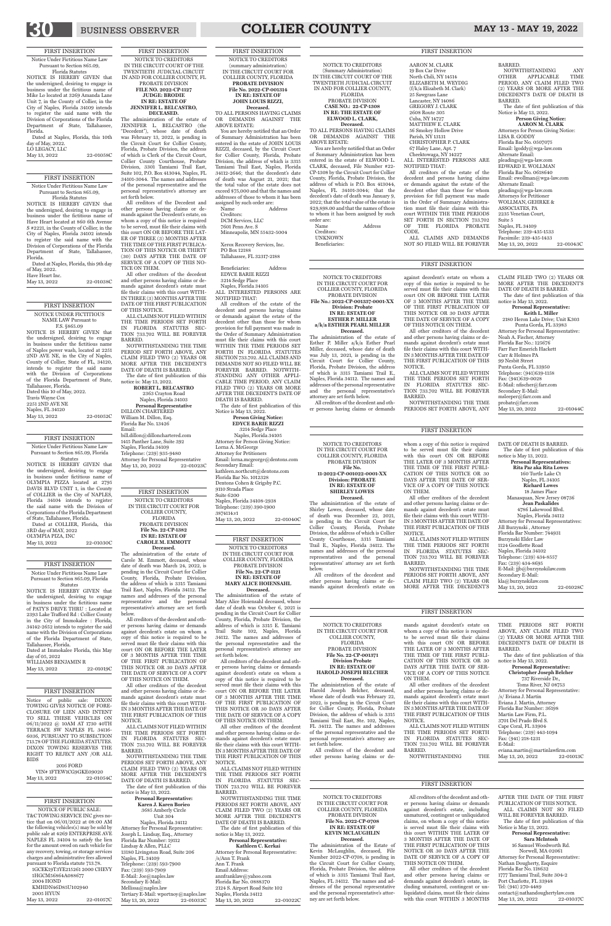## BUSINESS OBSERVER **COLLIER COUNTY** MAY 13 - MAY 19, 2022

#### FIRST INSERTION

Notice Under Fictitious Name Law Pursuant to Section 865.09, Florida Statutes

NOTICE IS HEREBY GIVEN that the undersigned, desiring to engage in business under the fictitious name of PATY'S DRIVE THRU : Located at 2393 Lake Trafford Rd : Collier County in the City of Immokalee : Florida, 34142-2652 intends to register the said name with the Division of Corporations of the Florida Department of State, Tallahassee, Florida. Dated at Immokalee Florida, this May day of 05, 2022

WILLIAMS BENJAMIN R<br>May 13, 2022 22-01019C May 13, 2022

Dated at COLLIER, Florida, this 3RD day of MAY, 2022 OLYMPIA PIZA, INC May 13, 2022 22-01030C

#### FIRST INSERTION

Notice Under Fictitious Name Law Pursuant to Section 865.09, Florida Statutes

NOTICE IS HEREBY GIVEN that the undersigned, desiring to engage in business under fictitious name of OLYMPIA PIZZA located at 2795 DAVIS BLVD UNIT 1, in the County of COLLIER in the City of NAPLES, Florida 34104 intends to register the said name with the Division of Corporations of the Florida Department of State, Tallahassee, Florida.

NOTICE IS HEREBY GIVEN that the undersigned, desiring to engage in business under the fictitious name of Naples power wash, located at 2251 2ND AVE NE, in the City of Naples, County of Collier, State of FL, 34120, intends to register the said name with the Division of Corporations of the Florida Department of State, Tallahassee, Florida. Dated this 10 of May, 2022. Travis Wayne Cox 2251 2ND AVE NE Naples, FL 34120 May 13, 2022 22-01052C

#### FIRST INSERTION

Notice Under Fictitious Name Law Pursuant to Section 865.09, Florida Statutes

#### 2016 FORD VIN# 1FTEW1CG9GKE09020<br>May 13, 2022 22-0103 22-01054C

NOTICE IS HEREBY GIVEN that the undersigned, desiring to engage in business under the fictitious name of Have Heart located at 860 6th Avenue S #2221, in the County of Collier, in the City of Naples, Florida 34102 intends to register the said name with the Division of Corporations of the Florida Department of State, Tallahassee, Florida.

1GCEK19T3YE215261 2000 CHEVY 1HGCM56864A088677 2004 HOND KMHDN46D85U102940 2005 HYUN May 13, 2022 22-01057C

Dated at Naples, Florida, this 9th day of May, 2022. Have Heart Inc.

May 13, 2022 22-01038C

#### FIRST INSERTION NOTICE UNDER FICTITIOUS NAME LAW Pursuant to F.S. §865.09

#### FIRST INSERTION

Notice of public sale: DIXON TOWING GIVES NOTICE OF FORE-CLOSURE OF LIEN AND INTENT TO SELL THESE VEHICLES ON 06/11/2022 @ 10AM AT 1730 40TH TERRACE SW NAPLES FL 34116- 6036, PURSUANT TO SUBSECTION 713.78 OF THE FLORIDA STATUTES. DIXON TOWING RESERVES THE RIGHT TO REJECT ANY /OR ALL BIDS

The date of first publication of this notice is May 13, 2022. **Personal Representative: Christopher Joseph Belcher** 737 Riverside Dr., Toms River, NJ 08753 Attorney for Personal Representative: /s/ Eviana J. Martin Eviana J. Martin, Attorney Florida Bar Number: 36198 Martin Law Firm, P.L. 3701 Del Prado Blvd S. Cape Coral, FL 33904 Telephone: (239) 443-1094 Fax: (941) 218-1231 E-Mail: eviana.martin@martinlawfirm.com May 13, 20, 2022 22-01013C

#### FIRST INSERTION

NOTICE OF PUBLIC SALE: T&C TOWING SERVICE INC gives notice that on 06/01/2022 at 08:00 AM the following vehicles(s) may be sold by public sale at 4269 ENTERPRISE AVE NAPLES FL 34104 to satisfy the lien for the amount owed on each vehicle for any recovery, towing, or storage services charges and administrative fees allowed pursuant to Florida statute 713.78.

### FIRST INSERTION

Notice Under Fictitious Name Law Pursuant to Section 865.09,

Florida Statutes NOTICE IS HEREBY GIVEN that the undersigned, desiring to engage in business under the fictitious name of Mike Lo located at 3269 Amanda Lane Unit 7, in the County of Collier, in the City of Naples, Florida 34109 intends to register the said name with the Division of Corporations of the Florida Department of State, Tallahassee, Florida.

Dated at Naples, Florida, this 10th day of May, 2022. LO LEGACY, LLC

> notice is: May 13, 2022. **ROBERT L. BELCASTRO** 2363 Crayton Road Naples, Florida 34103 **Personal Representative**  DILLON CHARTERED William M. Dillon, Esq. Florida Bar No. 13426 Email: bill.dillon@dillonchartered.com 1415 Panther Lane, Suite 392 Naples, Florida 34109 Telephone: (239) 935-9480 Attorney for Personal Representative May 13, 20, 2022 22-01023C

| $100$ models, $100$<br>May 13, 2022 | 22-01058C |  |
|-------------------------------------|-----------|--|
|                                     |           |  |

NOTICE TO CREDITORS IN THE CIRCUIT COURT FOR COLLIER COUNTY, FLORIDA PROBATE DIVISION **File No. 22-CP-001371 Division Probate IN RE: ESTATE OF** 

#### **HAROLD JOSEPH BELCHER Deceased.**

The administration of the estate of Harold Joseph Belcher, deceased, whose date of death was February 22, 2022, is pending in the Circuit Court for Collier County, Florida, Probate Division, the address of which is 3315 Tamiami Trail East, Ste. 102, Naples, FL 34112. The names and addresses of the personal representative and the personal representative's attorney are set forth below.

All creditors of the decedent and other persons having claims or demands against decedent's estate on whom a copy of this notice is required to be served must file their claims with this court ON OR BEFORE THE LATER OF 3 MONTHS AFTER THE TIME OF THE FIRST PUBLI-CATION OF THIS NOTICE OR 30 DAYS AFTER THE DATE OF SER-

Naples, Florida 34112 Attorney for Personal Representative: Joseph L. Lindsay, Esq., Attorney Florida Bar Number: 19112 Lindsay & Allen, PLLC 13180 Livingston Road, Suite 206 Naples, FL 34109 Telephone: (239) 593-7900 Fax: (239) 593-7909 E-Mail: Joe@naples.law Secondary E-Mail: Mellissa@naples.law Tertiary E-Mail: wportnoy@naples.law May 13, 20, 2022 22-01032C

#### VICE OF A COPY OF THIS NOTICE ON THEM.

All other creditors of the decedent and other persons having claims or demands against decedent's estate must file their claims with this court WITH-IN 3 MONTHS AFTER THE DATE OF THE FIRST PUBLICATION OF THIS NOTICE.

ALL CLAIMS NOT FILED WITHIN THE TIME PERIODS SET FORTH IN FLORIDA STATUTES SEC-TION 733.702 WILL BE FOREVER BARRED.

NOTWITHSTANDING THE

TIME PERIODS SET FORTH ABOVE, ANY CLAIM FILED TWO (2) YEARS OR MORE AFTER THE DECEDENT'S DATE OF DEATH IS BARRED.

May 13, 20, 2022 22-01028C

Naples, Florida 34105 Attorney for Person Giving Notice: Lorna A. McGeorge Attorney for Petitioners Email: lorna.mcgeorge@dentons.com Secondary Email: kathleen.northcutt@dentons.com Florida Bar No. 1012328 Dentons Cohen & Grigsby P.C. 9110 Strada Place Suite 6200 Naples, Florida 34108-2938 Telephone: (239) 390-1900 3874114.v1 May 13, 20, 2022 22-01040C

FIRST INSERTION NOTICE TO CREDITORS IN THE CIRCUIT COURT OF THE TWENTIETH JUDICIAL CIRCUIT IN AND FOR COLLIER COUNTY, FL PROBATE DIVISION **FILE NO. 2022-CP-1127 JUDGE: BRODIE IN RE: ESTATE OF JENNIFER L. BELCASTRO, DECEASED.**

> NOTICE TO CREDITORS IN THE CIRCUIT COURT FOR COLLIER COUNTY, FLORIDA PROBATE DIVISION **File No. 22-CP-1121 IN RE: ESTATE OF MARY ALICE HOIENSAHL Deceased.**<br>The administration of the estate of

The administration of the estate of JENNIFER L. BELCASTRO (the "Decedent"), whose date of death was February 13, 2022, is pending in the Circuit Court for Collier County, Florida, Probate Division, the address of which is Clerk of the Circuit Court, Collier County Courthouse, Probate Division, 3301 Tamiami Trail East, Suite 102, P.O. Box 413044, Naples, FL 34101-3044. The names and addresses of the personal representative and the personal representative's attorney are set forth below.

All creditors of the Decedent and other persons having claims or demands against the Decedent's estate, on whom a copy of this notice is required to be served, must file their claims with this court ON OR BEFORE THE LAT-ER OF THREE (3) MONTHS AFTER THE TIME OF THE FIRST PUBLICA-TION OF THIS NOTICE OR THIRTY (30) DAYS AFTER THE DATE OF SERVICE OF A COPY OF THIS NO-TICE ON THEM.

> **Kathleen C. Kerkai** Attorney for Personal Representative: /s/Ann T. Frank Ann T. Frank Email Address: annfranklaw@yahoo.com Florida Bar No. 0888370 2124 S. Airport Road Suite 102 Naples, Florida 34112 May 13, 20, 2022 22-01022C

All other creditors of the decedent and other persons having claims or demands against decedent's estate must file their claims with this court WITH-IN THREE (3) MONTHS AFTER THE DATE OF THE FIRST PUBLICATION OF THIS NOTICE.

ALL CLAIMS NOT FILED WITHIN THE TIME PERIODS SET FORTH IN FLORIDA STATUTES SEC-TION 733.702 WILL BE FOREVER BARRED.

NOTWITHSTANDING THE TIME PERIOD SET FORTH ABOVE, ANY CLAIM FILED TWO (2) YEARS OR MORE AFTER THE DECEDENT'S DATE OF DEATH IS BARRED. The date of first publication of this

FIRST INSERTION NOTICE TO CREDITORS IN THE CIRCUIT COURT FOR COLLIER COUNTY, FLORIDA PROBATE DIVISION **File No. 22-CP-1382 IN RE: ESTATE OF CAROLE M. EMMOTT Deceased.** 

The administration of the estate of Carole M. Emmott, deceased, whose date of death was March 24, 2022, is pending in the Circuit Court for Collier County, Florida, Probate Division, the address of which is 3315 Tamiami Trail East, Naples, Florida 34112. The names and addresses of the personal representative and the personal representative's attorney are set forth below.

The administration of the estate of Esther P. Miller a/k/a Esther Pearl Miller, deceased, whose date of death was July 13, 2021, is pending in the Circuit Court for Collier County, Florida, Probate Division, the address of which is 3315 Tamiami Trail E., Naples, Florida 34112. The names and addresses of the personal representative and the personal representative's attorney are set forth below. All creditors of the decedent and oth-

All creditors of the decedent and other persons having claims or demands against decedent's estate on whom a copy of this notice is required to be served must file their claims with this court ON OR BEFORE THE LATER OF 3 MONTHS AFTER THE TIME OF THE FIRST PUBLICATION OF THIS NOTICE OR 30 DAYS AFTER

THE DATE OF SERVICE OF A COPY OF THIS NOTICE ON THEM.

All other creditors of the decedent and other persons having claims or demands against decedent's estate must file their claims with this court WITH-IN 3 MONTHS AFTER THE DATE OF THE FIRST PUBLICATION OF THIS NOTICE.

ALL CLAIMS NOT FILED WITHIN THE TIME PERIODS SET FORTH IN FLORIDA STATUTES SEC-TION 733.702 WILL BE FOREVER BARRED.

NOTWITHSTANDING THE TIME PERIODS SET FORTH ABOVE, ANY CLAIM FILED TWO (2) YEARS OR MORE AFTER THE DECEDENT'S DATE OF DEATH IS BARRED. The date of first publication of this notice is May 13, 2022.

#### **Personal Representative: Karen J. Karen Borieo**

#### 3685 Amberly Circle Unit 304

PERIODS SET FORTH ABOVE, ANY CLAIM FILED TWO (2) YEARS OR MORE AFTER THE DECEDENT'S

FIRST INSERTION NOTICE TO CREDITORS (summary administration) IN THE CIRCUIT COURT FOR COLLIER COUNTY, FLORIDA **PROBATE DIVISION File No. 2022-CP-001314 IN RE: ESTATE OF JOHN LOUIS RIZZI, Deceased.** TO ALL PERSONS HAVING CLAIMS

OR DEMANDS AGAINST THE ABOVE ESTATE: You are hereby notified that an Order

> IN THE CIRCUIT COURT FOR COLLIER COUNTY, FLORIDA

of Summary Administration has been entered in the estate of JOHN LOUIS RIZZI, deceased, by the Circuit Court for Collier County, Florida, Probate Division, the address of which is 3315 Tamiami Trail East, Naples, Florida 34112-2646; that the decedent's date of death was August 21, 2021; that the total value of the estate does not exceed \$75,000 and that the names and addresses of those to whom it has been assigned by such order are:

Name Address Creditors: DCM Services, LLC 7601 Penn Ave. S Minneapolis, MN 55432-5004

Xerox Recovery Services, Inc. PO Box 12188 Tallahassee, FL 32317-2188

Beneficiaries: Address EDYCE BARIE RIZZI 3214 Sedge Place Naples, Florida 34105 ALL INTERESTED PERSONS ARE NOTIFIED THAT:

> 16 Samuel Woodworth Rd. Norwell, MA 02061 Attorney for Personal Representative: Nathan Dougherty, Esquire Florida Bar No. 118632 1777 Tamiami Trail, Suite 304-2 Port Charlotte, FL 33948 Tel: (941) 270-4489 contact@nathandoughertylaw.com May 13, 20, 2022 22-01037C

All creditors of the estate of the decedent and persons having claims or demands against the estate of the decedent other than those for whom provision for full payment was made in the Order of Summary Administration must file their claims with this court WITHIN THE TIME PERIODS SET FORTH IN FLORIDA STATUTES SECTION 733.702. ALL CLAIMS AND DEMANDS NOT SO FILED WILL BE FOREVER BARRED. NOTWITH-STANDING ANY OTHER APPLI-CABLE TIME PERIOD, ANY CLAIM FILED TWO (2) YEARS OR MORE AFTER THE DECEDENT'S DATE OF DEATH IS BARRED. The date of first publication of this

Notice is May 13, 2022.

**Person Giving Notice: EDYCE BARIE RIZZI** 3214 Sedge Place

#### FIRST INSERTION

Mary Alice Hoiensahl deceased, whose date of death was October 6, 2021 is pending in the Circuit Court for Collier County, Florida, Probate Division, the address of which is 3315 E. Tamiami Trail Suite 102, Naples, Florida 34112. The names and addresses of the personal representative and the personal representative's attorney are set forth below.

All creditors of the decedent and other persons having claims or demands

against decedent's estate on whom a copy of this notice is required to be served must file their claims with this court ON OR BEFORE THE LATER OF 3 MONTHS AFTER THE TIME OF THE FIRST PUBLICATION OF THIS NOTICE OR 30 DAYS AFTER THE DATE OF SERVICE OF A COPY OF THIS NOTICE ON THEM.

All other creditors of the decedent and other persons having claims or demands against decedent's estate must file their claims with this court WITH-IN 3 MONTHS AFTER THE DATE OF THE FIRST PUBLICATION OF THIS NOTICE.

ALL CLAIMS NOT FILED WITHIN THE TIME PERIODS SET FORTH IN FLORIDA STATUTES SEC-TION 733.702 WILL BE FOREVER BARRED.

NOTWITHSTANDING THE TIME PERIODS SET FORTH ABOVE, ANY CLAIM FILED TWO (2) YEARS OR MORE AFTER THE DECEDENT'S DATE OF DEATH IS BARRED.

The date of first publication of this notice is May 13, 2022.

#### **Personal Representative:**

NOTICE TO CREDITORS (Summary Administration) IN THE CIRCUIT COURT OF THE TWENTIETH JUDICIAL CIRCUIT IN AND FOR COLLIER COUNTY, FLORIDA PROBATE DIVISION **CASE NO.: 22-CP-1308 IN RE: THE ESTATE OF ELWOOD L. CLARK,** 

**Deceased.** TO ALL PERSONS HAVING CLAIMS OR DEMANDS AGAINST THE ABOVE ESTATE:

You are hereby notified that an Order of Summary Administration has been entered in the estate of ELWOOD L. CLARK, deceased, File Number #22- CP-1308 by the Circuit Court for Collier County, Florida, Probate Division, the address of which is P.O. Box 413044, Naples, FL 34101-3044; that the decedent's date of death was January 9, 2022; that the total value of the estate is \$29,898.00 and that the names of those to whom it has been assigned by such order are: Address Creditors: UNKNOWN Beneficiaries:

AARON M. CLARK 19 Box Car Drive North Chili, NY 14514 ELIZABETH M. WEYDIG (f/k/a Elizabeth M. Clark) 25 Sawgrass Lane Lancaster, NY 14086 GREGORY J. CLARK 2608 Route 305 Cuba, NY 14727 MATTHEW E. CLARK 56 Smokey Hollow Drive Parish, NY 13131 CHRISTOPHER P. CLARK 67 Haley Lane, Apt. 7 Cheektowaga, NY 14227 ALL INTERESTED PERSONS ARE NOTIFIED THAT:

All creditors of the estate of the decedent and persons having claims or demands against the estate of the decedent other than those for whom provision for full payment was made in the Order of Summary Administration must file their claims with this court WITHIN THE TIME PERIODS SET FORTH IN SECTION 733.702 OF THE FLORIDA PROBATE CODE. ALL CLAIMS AND DEMANDS NOT SO FILED WILL BE FOREVER BARRED.

NOTWITHSTANDING ANY OTHER APPLICABLE TIME PERIOD, ANY CLAIM FILED TWO (2) YEARS OR MORE AFTER THE DECEDENT'S DATE OF DEATH IS

BARRED.

The date of first publication of this

Notice is May 13, 2022.

**Person Giving Notice: AARON M. CLARK** Attorneys for Person Giving Notice:

May 13, 20, 2022 22-01043C

LISA B. GODDY Florida Bar No. 0507075 Email: lgoddy@wga-law.com Alternate Email: pleadings@wga-law.com EDWARD E. WOLLMAN Florida Bar No. 0618640 Email: ewollman@wga-law.com

Alternate Email: pleadings@wga-law.com Attorneys for Petitioner WOLLMAN, GEHRKE & ASSOCIATES, PA 2235 Venetian Court,

Suite 5 Naples, FL 34109 Telephone: 239-435-1533 Facsimile: 239-435-1433

NOTICE TO CREDITORS IN THE CIRCUIT COURT FOR COLLIER COUNTY, FLORIDA PROBATE DIVISION **File No.: 2022-CP-001337-0001-XX Division: Probate IN RE: ESTATE OF ESTHER P. MILLER a/k/a ESTHER PEARL MILLER Deceased.** 

er persons having claims or demands

against decedent's estate on whom a copy of this notice is required to be served must file their claims with this court ON OR BEFORE THE LATER OF 3 MONTHS AFTER THE TIME OF THE FIRST PUBLICATION OF THIS NOTICE OR 30 DAYS AFTER THE DATE OF SERVICE OF A COPY OF THIS NOTICE ON THEM.

All other creditors of the decedent and other persons having claims or demands against decedent's estate must file their claims with this court WITH-IN 3 MONTHS AFTER THE DATE OF THE FIRST PUBLICATION OF THIS NOTICE.

ALL CLAIMS NOT FILED WITHIN THE TIME PERIODS SET FORTH IN FLORIDA STATUTES SEC-TION 733.702 WILL BE FOREVER BARRED. NOTWITHSTANDING THE TIME

PERIODS SET FORTH ABOVE, ANY

CLAIM FILED TWO (2) YEARS OR MORE AFTER THE DECEDENT'S DATE OF DEATH IS BARRED. The date of first publication of this

notice is May 13, 2022.

**Personal Representative: Keith L. Miller** 2180 Heron Lake Drive; Unit K303 Punta Gorda, FL 33983 Attorney for Personal Representative: Noah A. Fischer, Attorney Florida Bar No.: 125676 Farr Farr Emerich Hackett Carr & Holmes PA 99 Nesbit Street Punta Gorda, FL 33950 Telephone: (941)639-1158 Fax: (941)639-0028 E-Mail: nfischer@farr.com Secondary E-Mail: msleeper@farr.com and probate@farr.com

May 13, 20, 2022 22-01044C

NOTICE TO CREDITORS IN THE CIRCUIT COURT FOR COLLIER COUNTY, FLORIDA PROBATE DIVISION

#### **File No. 11-2022-CP-001022-0001-XX Division: PROBATE IN RE: ESTATE OF SHIRLEY LOWES**

**Deceased.** The administration of the estate of Shirley Lowes, deceased, whose date of death was December 22, 2021, is pending in the Circuit Court for Collier County, Florida, Probate Division, the address of which is Collier County Courthouse, 3315 Tamiami Trail E., Naples, Florida 34112. The names and addresses of the personal representatives and the personal representatives' attorney are set forth below.

All creditors of the decedent and other persons having claims or demands against decedent's estate on to be served must file their claims with this court ON OR BEFORE THE LATER OF 3 MONTHS AFTER THE TIME OF THE FIRST PUBLI-CATION OF THIS NOTICE OR 30 DAYS AFTER THE DATE OF SER-VICE OF A COPY OF THIS NOTICE ON THEM.

All other creditors of the decedent

and other persons having claims or demands against decedent's estate must file their claims with this court WITH-IN 3 MONTHS AFTER THE DATE OF THE FIRST PUBLICATION OF THIS NOTICE.

ALL CLAIMS NOT FILED WITHIN THE TIME PERIODS SET FORTH IN FLORIDA STATUTES SEC-TION 733.702 WILL BE FOREVER BARRED. NOTWITHSTANDING THE TIME

**Personal Representatives: Rita Paz aka Rita Lowes** 160 Turtle Lake Ct Naples, FL 34105 **Richard Lowes** 18 James Place Manasquan, New Jersey 08736 **Jean Paskalides** 4786 Lakewood Blvd. Naples, Florida 34112 Attorney for Personal Representatives:

Jill Burzynski , Attorney Florida Bar Number: 744931 Burzynski Elder Law 1124 Goodlette Road Naples, Florida 34102 Telephone: (239) 434-8557 Fax: (239) 434-8695 E-Mail: jjb@burzynskilaw.com Secondary E-Mail: kla@burzynskilaw.com

#### NOTICE TO CREDITORS PROBATE DIVISION **File No. 2022-CP-0708 IN RE: ESTATE OF KEVIN MCLAUGHLIN Deceased.**

whom a copy of this notice is required DATE OF DEATH IS BARRED. The date of first publication of this notice is May 13, 2022. FIRST INSERTION

The administration of the Estate of Kevin McLaughlin, deceased, File Number 2022-CP-0708, is pending in the Circuit Court for Collier County, Florida, Probate Division, the address of which is 3315 Tamiami Trail East, Naples, FL 34112. The names and addresses of the personal representative and the personal representative's attorney are set forth below.

NOTICE OR 30 DAYS AFTER THE DATE OF SERVICE OF A COPY OF THIS NOTICE ON THEM.

All creditors of the decedent and other persons having claims or demands against decedent's estate, including unmatured, contingent or unliquidated claims, on whom a copy of this notice is served must file their claims with this court WITHIN THE LATER OF 3 MONTHS AFTER THE DATE OF THE FIRST PUBLICATION OF THIS AFTER THE DATE OF THE FIRST PUBLICATION OF THIS NOTICE. ALL CLAIMS NOT SO FILED WILL BE FOREVER BARRED. The date of first publication of this Notice is May 13, 2022. **Personal Representative: Sara McIntosh**

All other creditors of the decedent and other persons having claims or demands against decedent's estate, including unmatured, contingent or unliquidated claims, must file their claims with this court WITHIN 3 MONTHS

FIRST INSERTION

#### FIRST INSERTION

#### FIRST INSERTION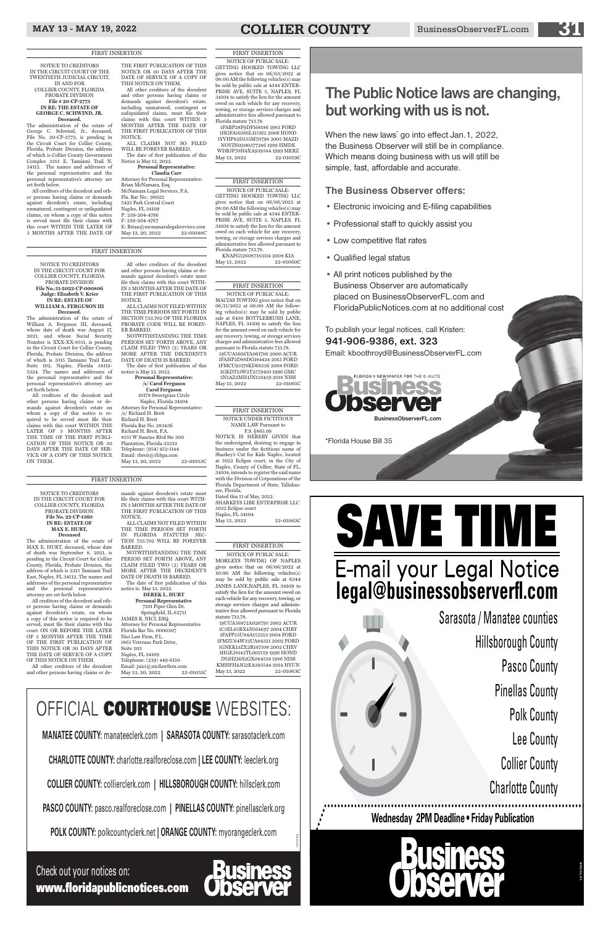## MAY 13 - MAY 19, 2022 **COLLIER COUNTY** BusinessObserverFL.com

NOTICE TO CREDITORS IN THE CIRCUIT COURT OF THE TWENTIETH JUDICIAL CIRCUIT, IN AND FOR COLLIER COUNTY, FLORIDA PROBATE DIVISION **File # 20-CP-2773 IN RE: THE ESTATE OF GEORGE C. SCHWIND, JR. Deceased.**

The administration of the estate of George C. Schwind, Jr., deceased, File No. 20-CP-2773, is pending in the Circuit Court for Collier County, Florida, Probate Division, the address of which is Collier County Government Complex 3315 E. Tamiami Trail N. 34112. The names and addresses of the personal representative and the personal representative's attorney are set forth below.

Attorney for Personal Representative: Brian McNamara, Esq. McNamara Legal Services, P.A. Fla. Bar No.: 98022 5425 Park Central Court Naples, FL 34109 P: 239-204-4766 F: 239-204-4767 E: Brian@mcnamaralegalservices.com May 13, 20, 2022 22-01048C

All creditors of the decedent and other persons having claims or demands against decedent's estate, including unmatured, contingent or unliquidated claims, on whom a copy of this notice is served must file their claims with this court WITHIN THE LATER OF 3 MONTHS AFTER THE DATE OF

THE FIRST PUBLICATION OF THIS NOTICE OR 30 DAYS AFTER THE DATE OF SERVICE OF A COPY OF THIS NOTICE ON THEM.

**Deceased.**<br>The administration of the estate of William A. Ferguson III, deceased, whose date of death was August 17, 2021, and whose Social Security Number is XXX-XX-8551, is pending in the Circuit Court for Collier County, Florida, Probate Division, the address of which is 3315 Tamiami Trail East, Suite 102, Naples, Florida 34112- 5324. The names and addresses of the personal representative and the

All other creditors of the decedent and other persons having claims or demands against decedent's estate, including unmatured, contingent or unliquidated claims, must file their claims with this court WITHIN 3 MONTHS AFTER THE DATE OF THE FIRST PUBLICATION OF THIS NOTICE.

ALL CLAIMS NOT SO FILED WILL BE FOREVER BARRED. The date of first publication of this

Notice is May 13, 2022. **Personal Representative:**

#### **Claudia Carr**

**/s/ Carol Ferguson Carol Ferguson** 10178 Sweetgrass Circle Naples, Florida 34104 Attorney for Personal Representative: /s/ Richard H. Breit Richard H. Breit Florida Bar No. 283436 Richard H. Breit, P.A. 8551 W Sunrise Blvd Ste 300 Plantation, Florida 33322 Telephone: (954) 452-1144 Email: rbreit@rhbpa.com May 13, 20, 2022 22-01053C

NOTICE TO CREDITORS IN THE CIRCUIT COURT FOR COLLIER COUNTY, FLORIDA PROBATE DIVISION **File No.:11-2022-CP-000806 Judge: Elizabeth V. Krier IN RE: ESTATE OF WILLIAM A. FERGUSON III** 

personal representative's attorney are set forth below. All creditors of the decedent and other persons having claims or demands against decedent's estate on whom a copy of this notice is required to be served must file their claims with this court WITHIN THE LATER OF 3 MONTHS AFTER THE TIME OF THE FIRST PUBLI-CATION OF THIS NOTICE OR 30 DAYS AFTER THE DATE OF SER-VICE OF A COPY OF THIS NOTICE ON THEM.

All other creditors of the decedent and other persons having claims or demands against decedent's estate must file their claims with this court WITH-IN 3 MONTHS AFTER THE DATE OF THE FIRST PUBLICATION OF THIS NOTICE.

1FABP28F9DF168186 1983 FORD 1HGFA16566L115162 2006 HOND 1YVHP82D555M70798 2005 MAZD NOVIN0200377286 1989 HMDE WDBJF70H4XA939544 1999 MERZ May 13, 2022 22-01059C

ALL CLAIMS NOT FILED WITHIN THE TIME PERIODS SET FORTH IN SECTION 733.702 OF THE FLORIDA PROBATE CODE WILL BE FOREV-ER BARRED.

KNAFG526087183114 2008 KIA May 13, 2022 22-01060C

NOTWITHSTANDING THE TIME PERIODS SET FORTH ABOVE, ANY CLAIM FILED TWO (2) YEARS OR MORE AFTER THE DECEDENT'S DATE OF DEATH IS BARRED. The date of first publication of this

NOTICE OF PUBLIC SALE: MACIAS TOWING gives notice that on 06/11/2022 at 08:00 AM the following vehicles(s) may be sold by public sale at 6450 BOTTLEBRUSH LANE, NAPLES, FL 34109 to satisfy the lien for the amount owed on each vehicle for any recovery, towing, or storage services charges and administrative fees allowed pursuant to Florida statute 713.78. 19UUA5666YA061786 2000 ACUR 1FAHP2D88DG184424 2013 FORD 1FMCU93178KD68536 2008 FORD 1GKDT13W2T2579410 1996 GMC 5N1AZ2MH1JN135459 2018 NISS May 13, 2022 22-01061C

notice is May 13, 2022. **Personal Representative:**

#### NOTICE TO CREDITORS IN THE CIRCUIT COURT FOR COLLIER COUNTY, FLORIDA PROBATE DIVISION **File No. 22-CP-1360 IN RE: ESTATE OF MAX E. HURT, Deceased**

The administration of the estate of MAX E. HURT, deceased, whose date of death was September 8, 2021, is pending in the Circuit Court for Collier County, Florida, Probate Division, the address of which is 3315 Tamiami Trail East, Naples, FL 34112. The names and addresses of the personal representative and the personal representative's attorney are set forth below.

> KMHFH4JG2EA395544 2014 HYUN May 13, 2022 22-01063C

All creditors of the decedent and other persons having claims or demands against decedent's estate, on whom a copy of this notice is required to be served, must file their claims with this court ON OR BEFORE THE LATER OF 3 MONTHS AFTER THE TIME OF THE FIRST PUBLICATION OF THIS NOTICE OR 30 DAYS AFTER THE DATE OF SERVICE OF A COPY OF THIS NOTICE ON THEM.

All other creditors of the decedent

and other persons having claims or de-

May 13, 20, 2022

mands against decedent's estate must file their claims with this court WITH-IN 3 MONTHS AFTER THE DATE OF THE FIRST PUBLICATION OF THIS NOTICE. ALL CLAIMS NOT FILED WITHIN

THE TIME PERIODS SET FORTH IN FLORIDA STATUTES SEC-TION 733.702 WILL BE FOREVER BARRED.

NOTWITHSTANDING THE TIME PERIOD SET FORTH ABOVE, ANY CLAIM FILED TWO (2) YEARS OR MORE AFTER THE DECEDENT'S DATE OF DEATH IS BARRED.

The date of first publication of this notice is: May 13, 2022.

#### **DEREK L. HURT**

**Personal Representative** 7101 Piper Glen Dr. Springfield, IL 62711 JAMES R. NICI, ESQ. Attorney for Personal Representative Florida Bar No. 0000507 Nici Law Firm, P.L. 1865 Veterans Park Drive, Suite 203 Naples, FL 34109 Telephone: (239) 449-6150 Email: jnici@nicilawfirm.com

#### FIRST INSERTION

NOTICE OF PUBLIC SALE: GETTING HOOKED TOWING LLC gives notice that on 06/03/2022 at 08:00 AM the following vehicles(s) may be sold by public sale at 4344 ENTER-PRISE AVE, SUITE 5, NAPLES, FL 34104 to satisfy the lien for the amount owed on each vehicle for any recovery, towing, or storage services charges and administrative fees allowed pursuant to Florida statute 713.78.

#### FIRST INSERTION

NOTICE OF PUBLIC SALE: GETTING HOOKED TOWING LLC gives notice that on 06/06/2022 at 08:00 AM the following vehicles(s) may be sold by public sale at 4344 ENTER-PRISE AVE, SUITE 5, NAPLES, FL 34104 to satisfy the lien for the amount owed on each vehicle for any recovery, towing, or storage services charges and administrative fees allowed pursuant to Florida statute 713.78.

#### FIRST INSERTION

#### FIRST INSERTION NOTICE UNDER FICTITIOUS

NAME LAW Pursuant to F.S. §865.09

# NOTICE IS HEREBY GIVEN that

the undersigned, desiring to engage in business under the fictitious name of Sharkey's Cut for Kids Naples, located at 5022 Eclipse court, in the City of Naples, County of Collier, State of FL, 34104, intends to register the said name with the Division of Corporations of the Florida Department of State, Tallahas-

see, Florida. Dated this 11 of May, 2022. 5022 Eclipse court Naples, FL 34104

May 13, 2022 22-01062C

SHARKEYS LIBE ENTERPRISE LLC

FIRST INSERTION

NOTICE OF PUBLIC SALE: MORLEYS TOWING OF NAPLES gives notice that on 06/06/2022 at 10:00 AM the following vehicles(s) may be sold by public sale at 6344 JANES LANE,NAPLES, FL 34109 to satisfy the lien for the amount owed on each vehicle for any recovery, towing, or storage services charges and administrative fees allowed pursuant to Florida statute 713.78.

19UUA56872A026795 2002 ACUR 1C3EL65RX4N164697 2004 CHRY 1FAFP53U84A152213 2004 FORD 1FMZU64W32UA84321 2002 FORD 1GNEK13ZX2R147108 2002 CHEV 1HGEJ8142TL001559 1996 HOND JN1HZ16S2GX084558 1986 NISS

LV10186

**MANATEE COUNTY:** manateeclerk.com **| SARASOTA COUNTY:** sarasotaclerk.com

**CHARLOTTE COUNTY:** charlotte.realforeclose.com **| LEE COUNTY:** leeclerk.org

**COLLIER COUNTY:** collierclerk.com **| HILLSBOROUGH COUNTY:** hillsclerk.com

**PASCO COUNTY:** pasco.realforeclose.com **| PINELLAS COUNTY:** pinellasclerk.org

**POLK COUNTY:** polkcountyclerk.net **| ORANGE COUNTY:** myorangeclerk.com

## OFFICIAL COURTHOUSE WEBSITES:

Check out your notices on: www.floridapublicnotices.com



#### The Business Observer offers:

- Electronic invoicing and E-filing capabilities
- Professional staff to quickly assist you
- Low competitive flat rates
- Qualified legal status
- All print notices published by the Business Observer are automatically placed on BusinessObserverFL.com and FloridaPublicNotices.com at no additional cost



## The Public Notice laws are changing, but working with us is not.

To publish your legal notices, call Kristen: 941-906-9386, ext. 323



When the new laws\* go into effect Jan.1, 2022, the Business Observer will still be in compliance. Which means doing business with us will still be simple, fast, affordable and accurate.

\*Florida House Bill 35

Sarasota / Manatee counties

Hillsborough County

Pasco County



**legal@businessobserverfl.com**

# SAVE TIME E-mail your Legal Notice

LV10264

#### FIRST INSERTION

#### FIRST INSERTION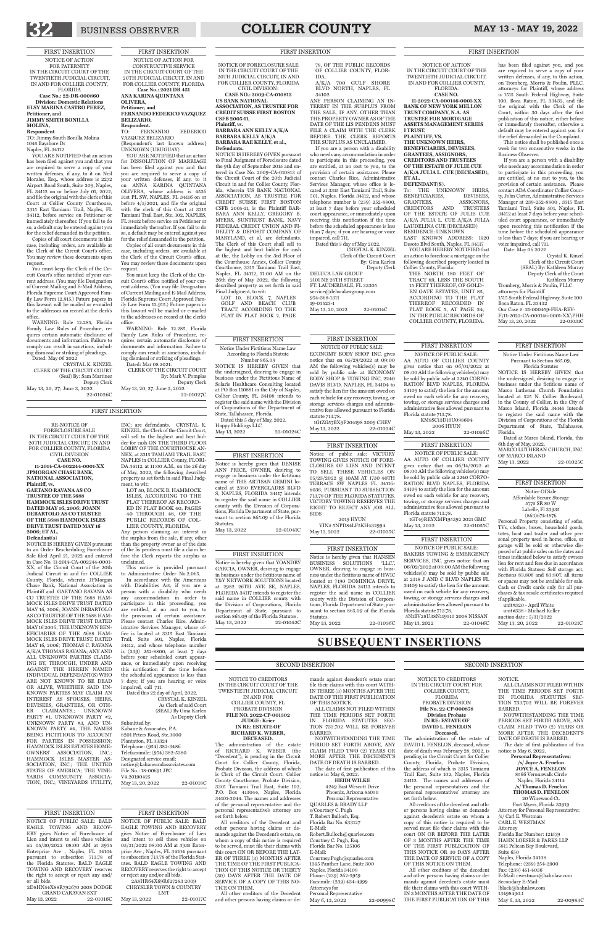## BUSINESS OBSERVER **COLLIER COUNTY** MAY 13 - MAY 19, 2022

NOTICE TO CREDITORS IN THE CIRCUIT COURT OF THE TWENTIETH JUDICIAL CIRCUIT This notice is provided pursuant to Administrative Order No.2.065. In accordance with the Americans with Disabilities Act, if you are a person with a disability who needs any accommodation in order to participate in this proceeding, you are entitled, at no cost to you, to the provision of certain assistance. Please contact Charles Rice, Administrative Services Manager, whose office is located at 3315 East Tamiami Trail, Suite 501, Naples, Florida 34112, and whose telephone number is (239) 252-8800, at least 7 days before your scheduled court appearance, or immediately upon receiving this notification if the time before the scheduled appearance is less than 7 days; if you are hearing or voice impaired, call 711. Dated this 22 day of April, 2022. CRYSTAL K. KINZEL As Clerk of said Court (SEAL) By Gina Karlen As Deputy Clerk Submitted by: Kahane & Associates, P.A. 8201 Peters Road, Ste.3000 Plantation, FL 33324 Telephone: (954) 382-3486 Telefacsimile: (954) 382-5380 Designated service email: notice@kahaneandassociates.com File No.: 18-00691 JPC V4.20190425 May 13, 20, 2022 22-01018C

## **SUBSEQUENT INSERTIONS**

IN AND FOR

COLLIER COUNTY, FL PROBATE DIVISION **FILE NO. 2022-CP-001302 JUDGE: Krier IN RE: ESTATE OF RICHARD K. WEBER,**

**DECEASED.**

The administration of the estate of RICHARD K. WEBER (the "Decedent"), is pending in the Circuit Court for Collier County, Florida, Probate Division, the address of which is Clerk of the Circuit Court, Collier County Courthouse, Probate Division, 3301 Tamiami Trail East, Suite 102, P.O. Box 413044, Naples, Florida 34101-3044. The names and addresses of the personal representative and the personal representative's attorney are set forth below.

All creditors of the Decedent and other persons having claims or demands against the Decedent's estate, on whom a copy of this notice is required to be served, must file their claims with this court ON OR BEFORE THE LAT-ER OF THREE (3) MONTHS AFTER THE TIME OF THE FIRST PUBLICA-TION OF THIS NOTICE OR THIRTY (30) DAYS AFTER THE DATE OF SERVICE OF A COPY OF THIS NO-TICE ON THEM.

All other creditors of the Decedent and other persons having claims or de-

mands against decedent's estate must file their claims with this court WITH-IN THREE (3) MONTHS AFTER THE DATE OF THE FIRST PUBLICATION OF THIS NOTICE.

ALL CLAIMS NOT FILED WITHIN THE TIME PERIODS SET FORTH IN FLORIDA STATUTES SEC-TION 733.702 WILL BE FOREVER BARRED.

NOTWITHSTANDING THE TIME PERIOD SET FORTH ABOVE, ANY CLAIM FILED TWO (2) YEARS OR MORE AFTER THE DECEDENT'S DATE OF DEATH IS BARRED.

The date of first publication of this notice is: May 6, 2022.

**HEIDI WILKE**

4249 East Wescott Drive Phoenix, Arizona 85050 Personal Representative QUARLES & BRADY LLP

s/Courtney C. Pugh

T. Robert Bulloch, Esq. Florida Bar No. 633127 E-Mail: Robert.Bulloch@quarles.com Courtney C. Pugh, Esq. Florida Bar No. 125106

E-Mail: Courtney.Pugh@quarles.com 1395 Panther Lane, Suite 300 Naples, Florida 34109 Phone: (239) 262-5959 Facsimile: (239) 434-4999 Attorneys for Personal Representative

May 6, 13, 2022 22-00998C

#### SECOND INSERTION

NOTICE TO CREDITORS IN THE CIRCUIT COURT FOR COLLIER COUNTY, FLORIDA

PROBATE DIVISION **File No. 22-CP-000878 Division Probate IN RE: ESTATE OF DAVID L. FENELON**

#### **Deceased.**

The administration of the estate of DAVID L. FENELON, deceased, whose date of death was February 28, 2022, is pending in the Circuit Court for Collier County, Florida, Probate Division, the address of which is 3315 Tamiami Trail East, Suite 102, Naples, Florida 34112. The names and addresses of the personal representatives and the personal representatives' attorney are set forth below.

All creditors of the decedent and other persons having claims or demands against decedent's estate on whom a copy of this notice is required to be served must file their claims with this court ON OR BEFORE THE LATER OF 3 MONTHS AFTER THE TIME OF THE FIRST PUBLICATION OF THIS NOTICE OR 30 DAYS AFTER THE DATE OF SERVICE OF A COPY OF THIS NOTICE ON THEM.

All other creditors of the decedent and other persons having claims or demands against decedent's estate must file their claims with this court WITH-IN 3 MONTHS AFTER THE DATE OF THE FIRST PUBLICATION OF THIS

#### NOTICE.

ALL CLAIMS NOT FILED WITHIN THE TIME PERIODS SET FORTH IN FLORIDA STATUTES SEC-TION 733.702 WILL BE FOREVER BARRED.

NOTWITHSTANDING THE TIME PERIODS SET FORTH ABOVE, ANY CLAIM FILED TWO (2) YEARS OR MORE AFTER THE DECEDENT'S DATE OF DEATH IS BARRED.

The date of first publication of this notice is May 6, 2022.

#### **Personal Representatives:**

**/s/ Joyce A. Fenelon JOYCE A. FENELON** 8566 Veronawalk Circle Naples, Florida 34114 **/s/ Thomas D. Fenelon THOMAS D. FENELON**

20 Winewood Ct. Fort Myers, Florida 33919 Attorney for Personal Representative: /s/ Carl E. Westman CARL E. WESTMAN Attorney Florida Bar Number: 121579 HAHN LOESER & PARKS LLP 5811 Pelican Bay Boulevard,

Suite 650 Naples, Florida 34108 Telephone: (239) 254-2900 Fax: (239) 451-4036 E-Mail: cwestman@hahnlaw.com Secondary E-Mail: lblack@hahnlaw.com 13498490.1

May 6, 13, 2022 22-00983C

SECOND INSERTION

FIRST INSERTION

NOTICE OF ACTION FOR PATERNITY IN THE CIRCUIT COURT OF THE TWENTIETH JUDICIAL CIRCUIT, IN AND FOR COLLIER COUNTY, FLORIDA **Case No.: 22-DR-000860 Division: Domestic Relations ELSY MARINA CASTRO PEREZ, Petitioner, and JIMMY SMITH BONILLA** 

- **MOLINA,**
- **Respondent**

TO: Jimmy Smith Bonilla Molina 1045 Bayshore Dr Naples, FL 34112

YOU ARE NOTIFIED that an action has been filed against you and that you are required to serve a copy of your written defenses, if any, to it on Neil Morales, Esq., whose address is 2272 Airport Road South, Suite 209, Naples, FL 34112 on or before July 01, 2022, and file the original with the clerk of this Court at Collier County Courthouse, 3315 East Tamiami Trail, Naples, FL 34112, before service on Petitioner or immediately thereafter. If you fail to do so, a default may be entered against you for the relief demanded in the petition.

> 2101 NE 26TH STREET FT. LAUDERDALE, FL 33305 service@delucalawgroup.com 954-368-1311 19-03523-1 May 13, 20, 2022 22-01014C

Copies of all court documents in this case, including orders, are available at the Clerk of the Circuit Court's office. You may review these documents upon request.

You must keep the Clerk of the Circuit Court's office notified of your current address. (You may file Designation of Current Mailing and E-Mail Address, Florida Supreme Court Approved Family Law Form 12.915.) Future papers in this lawsuit will be mailed or e-mailed to the addresses on record at the clerk's office.

WARNING: Rule 12.285, Florida Family Law Rules of Procedure, requires certain automatic disclosure of documents and information. Failure to comply can result in sanctions, including dismissal or striking of pleadings. Dated: May 06 2022

CRYSTAL K. KINZEL CLERK OF THE CIRCUIT COURT (Seal) By: Sam Martinez Deputy Clerk May 13, 20, 27; June 3, 2022

22-01026C

#### FIRST INSERTION

LOT 50, BLOCK B, HAMMOCK ISLES, ACCORDING TO THE PLAT THEREOF AS RECORD-ED IN PLAT BOOK 40, PAGES 40 THROUGH 46, OF THE PUBLIC RECORDS OF COL-LIER COUNTY, FLORIDA.

YOU ARE NOTIFIED that an action for DISSOLUTION OF MARRIAGE has been filed against you and that you are required to serve a copy of your written defenses, if any, to it on ANNA KARINA QUINTANA OLIVERA, whose address is 4536 31st PL SW, NAPLES, FL 34116 on or before 4/5/2021, and file the original with the clerk of this Court at 3315 Tamiami Trail East, Ste. 102, NAPLES, FL 34112 before service on Petitioner or immediately thereafter. If you fail to do so, a default may be entered against you for the relief demanded in the petition.

Copies of all court documents in this case, including orders, are available at the Clerk of the Circuit Court's office. You may review these documents upon request.

To: THE UNKNOWN HEIRS,<br>BENEFICIARIES. DEVISEES. BENEFICIARIES, GRANTEES, ASSIGNORS, CREDITORS AND TRUSTEES CREDITORS AND TRUSTEES OF THE ESTATE OF JULIE CUE A/K/A JULIA L. CUE A/K/A JULIA LAUDELINA CUE (DECEASED) RESIDENCE: UNKNOWN LAST KNOWN ADDRESS: 1920

You must keep the Clerk of the Circuit Court's office notified of your current address. (You may file Designation of Current Mailing and E-Mail Address, Florida Supreme Court Approved Family Law Form 12.915.) Future papers in this lawsuit will be mailed or e-mailed to the addresses on record at the clerk's

office. WARNING: Rule 12.285, Florida Family Law Rules of Procedure, requires certain automatic disclosure of documents and information. Failure to comply can result in sanctions, including dismissal or striking of pleadings.

Dated: Mar 08 2021. CLERK OF THE CIRCUIT COURT By: Mark V. Pomplas Deputy Clerk

May 13, 20, 27; June 3, 2022 22-01027C

FOR COLLIER COUNTY, FLORIDA CIVIL DIVISION: **CASE NO.: 2009-CA-010813 US BANK NATIONAL ASSOCIATION, AS TRUSTEE FOR CREDIT SUISSE FIRST BOSTON CSFB 2005-11, Plaintiff, vs. BARBARA ANN KELLY A/K/A** 

**BARBARA KELLY A/K/A BARBARA RAE KELLY, et al., Defendants.**

> Tromberg, Morris & Poulin, PLLC attorneys for Plaintiff 1515 South Federal Highway, Suite 100 Boca Raton. FL 33432 Our Case #: 21-000459-FHA-REV-F\11-2022-CA-000146-0001-XX\PHH<br>May 13, 20, 2022 22-01031C May 13, 20, 2022

#### NOTICE OF FORECLOSURE SALE IN THE CIRCUIT COURT OF THE 20TH JUDICIAL CIRCUIT, IN AND IDA.

NOTICE IS HEREBY GIVEN pursuant to Final Judgment of Foreclosure dated the 9th day of September 2015 and entered in Case No. 2009-CA-010813 of the Circuit Court of the 20th Judicial Circuit in and for Collier County, Florida, wherein US BANK NATIONAL ASSOCIATION, AS TRUSTEE FOR CREDIT SUISSE FIRST BOSTON CSFB 2005-11, is the Plaintiff BAR-BARA ANN KELLY, GREGORY B. MYERS, SUNTRUST BANK, NAVY FEDERAL CREDIT UNION AND FI-DELITY & DEPOSIT COMPANY OF MARYLAND, et al, are defendants. The Clerk of this Court shall sell to the highest and best bidder for cash at the, the Lobby on the 3rd Floor of the Courthouse Annex, Collier County Courthouse, 3315 Tamiami Trail East, Naples, FL 34112, 11:00 AM on the 26th day of May 2022, the following described property as set forth in said Final Judgment, to wit:

or reject any and/or all bids. 2A8HR64X69R627283 2009 CHRYSLER TOWN & COUNTRY May 13, 2022 22-01017C

unit#338 - Michael Keller auction date : 5/31/2022 May 13, 20, 2022 22-01021C

LOT 10, BLOCK 7, NAPLES GOLF AND BEACH CLUB TRACT, ACCORDING TO THE PLAT IN PLAT BOOK 2, PAGE

78, OF THE PUBLIC RECORDS OF COLLIER COUNTY, FLOR-

A/K/A 700 GULF SHORE BLVD NORTH, NAPLES, FL 34102

ANY PERSON CLAIMING AN IN-TEREST IN THE SURPLUS FROM THE SALE, IF ANY, OTHER THAN THE PROPERTY OWNER AS OF THE DATE OF THE LIS PENDENS MUST FILE A CLAIM WITH THE CLERK BEFORE THE CLERK REPORTS THE SURPLUS AS UNCLAIMED.

If you are a person with a disability who needs any accommodation in order to participate in this proceeding, you are entitled, at no cost to you, to the provision of certain assistance. Please contact Charles Rice, Administrative Services Manager, whose office is located at 3315 East Tamiami Trail, Suite 501, Naples, Florida 34112, and whose telephone number is (239) 252-8800, at least 7 days before your scheduled court appearance, or immediately upon receiving this notification if the time before the scheduled appearance is less than 7 days; if you are hearing or voice impaired, call 711.

> Dated at Marco Island, Florida, this 6th day of May, 2022. MARCO LUTHERAN CHURCH, INC.

| OF MARCO ISLAND |           |
|-----------------|-----------|
| May 13, 2022    | 22-01025C |

Notice is hereby given that HANSEN BUSINESS SOLUTIONS "LLC.", OWNER, desiring to engage in business under the fictitious name of HWIC located at 7190 DOMINICA DRIVE, NAPLES, FLORIDA 34113 intends to register the said name in COLLIER county with the Division of Corporations, Florida Department of State, pursuant to section 865.09 of the Florida **Statutes** 

May 13, 2022 22-01036C

Dated this 3 day of May 2022. CRYSTAL K. KINZEL Clerk of the Circuit Court By: Gina Karlen Deputy Clerk DELUCA LAW GROUP

2019 HYUN VIN# 5NPD84LF5KH432994 May 13, 2022 22-01035C

## RE-NOTICE OF

Notice is hereby given that YOANDRY GARCIA, OWNER, desiring to engage in business under the fictitious name of Y&Y NETWORK SOLUTIONS located at 2982 26TH AVE SE, NAPLES, FLORIDA 34117 intends to register the said name in COLLIER county with the Division of Corporations, Florida Department of State, pursuant to section 865.09 of the Florida Statutes. May 13, 2022 22-01042C

FORECLOSURE SALE IN THE CIRCUIT COURT OF THE 20TH JUDICIAL CIRCUIT, IN AND FOR COLLIER COUNTY, FLORIDA CIVIL DIVISION **CASE NO. 11-2014-CA-002244-0001-XX JPMORGAN CHASE BANK, NATIONAL ASSOCIATION, Plaintiff, vs. GAETANO RAVANA AS CO TRUSTEE OF THE 5688 HAMMOCK ISLES DRIVE TRUST DATED MAY 16, 2006; JOANN** 

#### **DEBARTOLO AS CO TRUSTEE OF THE 5688 HAMMOCK ISLES DRIVE TRUST DATED MAY 16 2006; ET AL,**

**Defendant(s)** NOTICE IS HEREBY GIVEN pursuant to an Order Rescheduling Foreclosure Sale filed April 21, 2022 and entered in Case No. 11-2014-CA-002244-0001- XX, of the Circuit Court of the 20th Judicial Circuit in and for COLLIER County, Florida, wherein JPMorgan Chase Bank, National Association is Plaintiff and GAETANO RAVANA AS CO TRUSTEE OF THE 5688 HAM-MOCK ISLES DRIVE TRUST DATED MAY 16, 2006; JOANN DEBARTOLO AS CO TRUSTEE OF THE 5688 HAM-MOCK ISLES DRIVE TRUST DATED MAY 16 2006; THE UNKNOWN BEN-EFICIARIES OF THE 5688 HAM-MOCK ISLES DRIVE TRUST, DATED MAY 16, 2006; THOMAS C. RAVANA A/K/A THOMAS RAVANA; ANY AND ALL UNKNOWN PARTIES CLAIM-ING BY, THROUGH, UNDER AND THE HEREIN NAMED INDIVIDUAL DEFENDANT(S) WHO ARE NOT KNOWN TO BE DEAD OR ALIVE, WHETHER SAID UN-KNOWN PARTIES MAY CLAIM AN INTEREST AS SPOUSES, HEIRS, DEVISEES, GRANTEES, OR OTH-ER CLAIMANTS.; UNKNOWN PARTY #1, UNKNOWN PARTY #2, UNKNOWN PARTY #3, AND UN-KNOWN PARTY #4, THE NAMES BEING FICTITIOUS TO ACCOUNT FOR PARTIES IN POSSESSION; HAMMOCK ISLES ESTATES HOME-OWNERS' ASSOCIATION, INC.; HAMMOCK ISLES MASTER AS-SOCIATION, INC.; THE UNITED STATES OF AMERICA; THE VINE-YARDS COMMUNITY ASSOCIA-TION, INC.; VINEYARDS UTILITY,

INC; are defendants. CRYSTAL K. KINZEL, the Clerk of the Circuit Court, will sell to the highest and best bidder for cash ON THE THIRD FLOOR LOBBY OF THE COURTHOUSE AN-NEX, at 3315 TAMIAMI TRAIL EAST, NAPLES in COLLIER County, FLORI-DA 34112, at 11:00 A.M., on the 26 day of May, 2022, the following described property as set forth in said Final Judgment, to wit:

Any person claiming an interest in the surplus from the sale, if any, other than the property owner as of the date of the lis pendens must file a claim before the Clerk reports the surplus as unclaimed.

#### NOTICE OF ACTION IN THE CIRCUIT COURT OF THE TWENTIETH JUDICIAL CIRCUIT, IN AND FOR COLLIER COUNTY, FLORIDA.

FIRST INSERTION FIRST INSERTION

**CASE NO. 11-2022-CA-000146-0001-XX BANK OF NEW YORK MELLON TRUST COMPANY, N.A. AS TRUSTEE FOR MORTGAGE ASSETS MANAGEMENT SERIES I TRUST, PLAINTIFF, VS.**

**THE UNKNOWN HEIRS, BENEFICIARIES, DEVISEES, GRANTEES, ASSIGNORS, CREDITORS AND TRUSTEES OF THE ESTATE OF JULIE CUE A/K/A JULIA L. CUE (DECEASED), ET AL.**

**DEFENDANT(S).**

Desoto Blvd South, Naples, FL 34117 YOU ARE HEREBY NOTIFIED that an action to foreclose a mortgage on the following described property located in Collier County, Florida:

THE NORTH 180 FEET OF TRACT 69, LESS THE SOUTH 15 FEET THEREOF, OF GOLD-EN GATE ESTATES, UNIT 85, ACCORDING TO THE PLAT THEREOF RECORDED IN PLAT BOOK 5, AT PAGE 24, IN THE PUBLIC RECORDS OF COLLIER COUNTY, FLORIDA.

has been filed against you, and you are required to serve a copy of your written defenses, if any, to this action, on Tromberg, Morris & Poulin, PLLC,

#### attorneys for Plaintiff, whose address is 1515 South Federal Highway, Suite 100, Boca Raton, FL 33432, and file the original with the Clerk of the Court, within 30 days after the first publication of this notice, either before or immediately thereafter, otherwise a default may be entered against you for the relief demanded in the Complaint.

This notice shall be published once a week for two consecutive weeks in the Business Observer.

If you are a person with a disability who needs any accommodation in order to participate in this proceeding, you are entitled, at no cost to you, to the provision of certain assistance. Please contact ADA Coordinator Collier County, John Carter, Administrative Services Manager at 239-252-8800 , 3315 East Tamiami Trail, Suite 501, Naples, FL 34112 at least 7 days before your scheduled court appearance, or immediately upon receiving this notification if the time before the scheduled appearance is less than 7 days; if you are hearing or voice impaired, call 711. Date: May 06 2022

Crystal K. Kinzel Clerk of the Circuit Court (SEAL) By: Kathleen Murray Deputy Clerk of the Court Kathleen Murray

#### FIRST INSERTION

NOTICE OF PUBLIC SALE: BALD EAGLE TOWING AND RECOV-ERY gives Notice of Foreclosure of Lien and intent to sell these vehicles on 05/30/2022 08:00 AM at 3935 Enterprise Ave , Naples, FL 34104 pursuant to subsection 713.78 of the Florida Statutes. BALD EAGLE TOWING AND RECOVERY reserves the right to accept or reject any and/ or all bids. 2D8HN54X88R792670 2008 DODGE

#### GRAND CARAVAN SXT<br>3. 2022 22-01016C May 13, 2022

FIRST INSERTION NOTICE OF PUBLIC SALE: BALD EAGLE TOWING AND RECOVERY gives Notice of Foreclosure of Lien and intent to sell these vehicles on 05/31/2022 08:00 AM at 3935 Enterprise Ave , Naples, FL 34104 pursuant to subsection 713.78 of the Florida Statutes. BALD EAGLE TOWING AND RECOVERY reserves the right to accept

LMT

| <b>FIRST INSERTION</b>    |  |
|---------------------------|--|
| Notice Of Sale            |  |
| Affordable Secure Storage |  |
| 5775 SR 80 W              |  |
| Labelle, Fl 33935         |  |
| $(863)674 - 1876$         |  |

Personal Property consisting of sofas, TVs, clothes, boxes, household goods, totes, boat and trailer and other personal property used in home, office, or garage will be sold or otherwise disposed of at public sales on the dates and times indicated below to satisfy owners lien for rent and fees due in accordance with Florida Statues: Self storage act, Sections 83.806 and 83:807. all items or spaces may not be available for sale. Cash or Credit cards only for all purchases & tax resale certificates required if applicable. unit#320 - April White

FIRST INSERTION

NOTICE OF PUBLIC SALE: ECONOMY BODY SHOP INC. gives notice that on 05/29/2022 at 09:00 AM the following vehicles(s) may be sold by public sale at ECONOMY BODY SHOP & TOWING INC, 2240 DAVIS BLVD, NAPLES, FL 34104 to satisfy the lien for the amount owed on each vehicle for any recovery, towing, or storage services charges and administrative fees allowed pursuant to Florida statute 713.78.

1G1ZG57BX9F204198 2009 CHEV<br>
Mav 13. 2022 22-01034C May 13, 2022

#### FIRST INSERTION

Notice Under Fictitious Name Law According to Florida Statute Number 865.09

NOTICE IS HEREBY GIVEN that the undersigned, desiring to engage in business under the Fictitious Name of Solaris Healthcare Consulting located at PO Box 110881 in the City of Naples, Collier County, FL 34108 intends to register the said name with the Division of Corporations of the Department of State, Tallahassee, Florida.

Dated this 5 day of May, 2022. Happy Holdings LLC

May 13, 2022 22-01024C

#### FIRST INSERTION

Notice Under Fictitious Name Law Pursuant to Section 865.09, Florida Statutes

NOTICE IS HEREBY GIVEN that the undersigned, desiring to engage in business under the fictitious name of Marco Lutheran Church Foundation located at 525 N. Collier Boulevard, in the County of Collier, in the City of Marco Island, Florida 34145 intends to register the said name with the Division of Corporations of the Florida Department of State, Tallahassee, Florida.

#### FIRST INSERTION

#### FIRST INSERTION Notice of public sale: VICTORY

TOWING GIVES NOTICE OF FORE-CLOSURE OF LIEN AND INTENT TO SELL THESE VEHICLES ON 05/23/2022 @ 10AM AT 1730 40TH TERRACE SW NAPLES FL 34116- 6036, PURSUANT TO SUBSECTION 713.78 OF THE FLORIDA STATUTES. VICTORY TOWING RESERVES THE RIGHT TO REJECT ANY /OR ALL BIDS

#### FIRST INSERTION

Notice is hereby given that DENISE ANN PRICE, OWNER, desiring to engage in business under the fictitious name of THE ARTISAN GEMINI located at 2380 EVERGLADES BLVD S, NAPLES, FLORIDA 34117 intends to register the said name in COLLIER county with the Division of Corporations, Florida Department of State, pursuant to section 865.09 of the Florida Statutes.

May 13, 2022 22-01041C

#### FIRST INSERTION

#### FIRST INSERTION

NOTICE OF PUBLIC SALE: BAKERS TOWING & EMERGENCY SERVICES, INC. gives notice that on 06/02/2022 at 08:00 AM the following vehicles(s) may be sold by public sale at 2318 J AND C BLVD NAPLES FL 34109 to satisfy the lien for the amount owed on each vehicle for any recovery, towing, or storage services charges and administrative fees allowed pursuant to Florida statute 713.78. 5N1BV28U38N119510 2008 NISSAN

May 13, 2022 22-01046C

#### FIRST INSERTION

NOTICE OF PUBLIC SALE: AA AUTO OF COLLIER COUNTY gives notice that on 06/14/2022 at 08:00 AM the following vehicles(s) may be sold by public sale at 2240 CORPO-RATION BLVD NAPLES, FLORIDA 34109 to satisfy the lien for the amount owed on each vehicle for any recovery, towing, or storage services charges and administrative fees allowed pursuant to Florida statute 713.78. 1GT49REYXMF195392 2021 GMC

May 13, 2022 22-01055C

#### FIRST INSERTION

NOTICE OF PUBLIC SALE: AA AUTO OF COLLIER COUNTY gives notice that on 06/01/2022 at 08:00 AM the following vehicles(s) may be sold by public sale at 2240 CORPO-RATION BLVD NAPLES, FLORIDA 34109 to satisfy the lien for the amount owed on each vehicle for any recovery, towing, or storage services charges and administrative fees allowed pursuant to Florida statute 713.78.

KM8SC13D16U098604 2006 HYUN May 13, 2022 22-01056C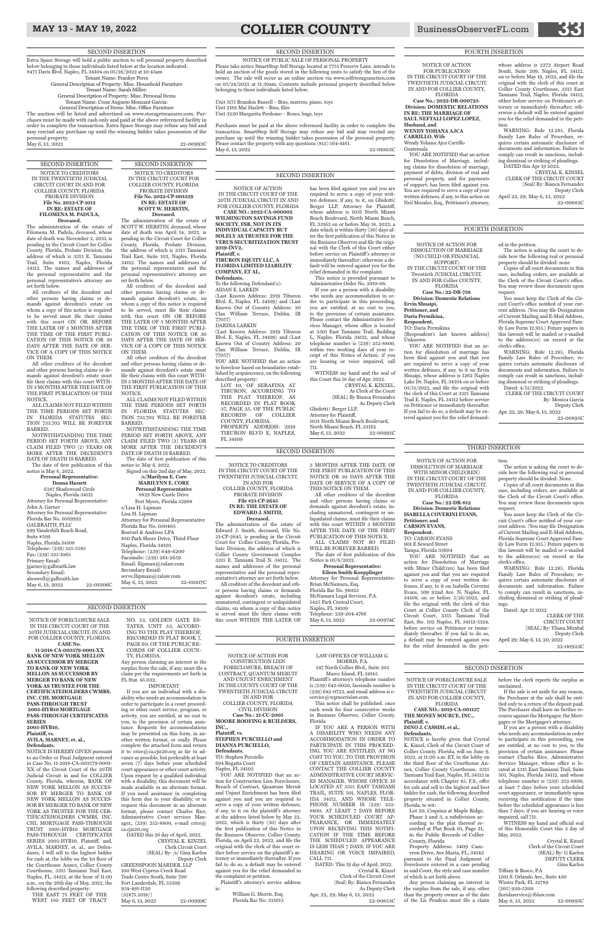## MAY 13 - MAY 19, 2022 **COLLIER COUNTY** BusinessObserverFL.com

#### NOTICE OF FORECLOSURE SALE IN THE CIRCUIT COURT OF THE TWENTIETH JUDICIAL CIRCUIT IN AND FOR COLLIER COUNTY,

#### FLORIDA

**CASE NO.: 2019-CA-001137 THE MONEY SOURCE, INC., Plaintiff, v.**

#### **DINO J. CASSISI, et al., Defendants.**

NOTICE is hereby given that Crystal K. Kinzel, Clerk of the Circuit Court of Collier County, Florida, will on June 9, 2022, at 11:00 a.m. ET, in the lobby on the third floor of the Courthouse Annex, Collier County Courthouse, 3315 Tamiami Trail East, Naples, FL 34112 in accordance with Chapter 45, F.S., offer for sale and sell to the highest and best bidder for cash, the following described property situated in Collier County, Florida, to wit:

Lot 20, Coquina at Maple Ridge, Phase 2 and 3, a subdivision according to the plat thereof recorded at Plat Book 61, Page 31, in the Public Records of Collier County, Florida

Property Address: 5409 Cameron Drive, Ave Maria, FL, 34142 pursuant to the Final Judgment of Foreclosure entered in a case pending in said Court, the style and case number of which is set forth above.

Tiffany & Bosco, P.A 1201 S. Orlando Ave., Suite 430 Winter Park, FL 32789 (205) 930-5200  $floridaservice@tbl$ May 6, 13, 2022 22-00995C

Any person claiming an interest in the surplus from the sale, if any, other than the property owner as of the date of the Lis Pendens must file a claim before the clerk reports the surplus as unclaimed.

If the sale is set aside for any reason, the Purchaser at the sale shall be entitled only to a return of the deposit paid. The Purchaser shall have no further recourse against the Mortgagor, the Mortgagee or the Mortgagee's attorney.

If you are a person with a disability who needs any accommodation in order to participate in this proceeding, you are entitled, at no cost to you, to the provision of certain assistance. Please contact Charles Rice, Administrative Services Manager, whose office is located at 3315 East Tamiami Trail, Suite 501, Naples, Florida 34112, and whose telephone number is (239) 252-8800, at least 7 days before your scheduled court appearance, or immediately upon receiving this notification if the time before the scheduled appearance is less than 7 days; if you are hearing or voice impaired, call 711.

WITNESS my hand and official seal of this Honorable Court this 2 day of May, 2022.

Crystal K. Kinzel Clerk of the Circuit Court (SEAL) By: G Karlen DEPUTY CLERK Gina Karlen

NOTICE OF FORECLOSURE SALE IN THE CIRCUIT COURT OF THE 20TH JUDICIAL CIRCUIT, IN AND FOR COLLIER COUNTY, FLORIDA. **CASE No.** 

#### GREENSPOON MARDER, LLP 100 West Cypress Creek Road Trade Centre South, Suite 700 Fort Lauderdale, FL 33309 954-491-1120 (32875.2018/) May 6, 13, 2022 22-00999C

**11-2018-CA-003579-0001-XX BANK OF NEW YORK MELLON AS SUCCESSOR BY MERGER TO BANK OF NEW YORK** 

#### **MELLON AS SUCCESSOR BY MERGER TO BANK OF NEW YORK AS TRUSTEE FOR THE CERTIFICATEHOLDERS CWMBS, INC. CHL MORTGAGE PASS-THROUGH TRUST 2005-HYB10 MORTGAGE PASS-THROUGH CERTIFICATES SERIES 2005-HYB10, Plaintiff, vs. AVILA, MARNEY, et. al., Defendants.**

NOTICE IS HEREBY GIVEN pursuant to an Order or Final Judgment entered in Case No. 11-2018-CA-003579-0001- XX of the Circuit Court of the 20TH Judicial Circuit in and for COLLIER County, Florida, wherein, BANK OF<br>NEW YORK MELLON AS SUCCES-YORK MELLON AS SUCCES-SOR BY MERGER TO BANK OF NEW YORK MELLON AS SUCCES-SOR BY MERGER TO BANK OF NEW YORK AS TRUSTEE FOR THE CER-TIFICATEHOLDERS CWMBS, INC. CHL MORTGAGE PASS-THROUGH TRUST 2005-HYB10 MORTGAGE PASS-THROUGH CERTIFICATES SERIES 2005-HYB10, Plaintiff, and, AVILA, MARNEY, et. al., are Defendants, I will sell to the highest bidder for cash at, the lobby on the 1st floor of the Courthouse Annex, Collier County Courthouse, 3315 Tamiami Trail East, Naples, FL. 34112, at the hour of 11:00 a.m., on the 26th day of May, 2022, the

following described property: THE EAST 75 FEET OF THE WEST 150 FEET OF TRACT

NO. 53, GOLDEN GATE ES-

TATES, UNIT 33, ACCORD-ING TO THE PLAT THEREOF, RECORDED IN PLAT BOOK 7, PAGE 60, OF THE PUBLIC RE-CORDS OF COLLIER COUN-TY, FLORIDA.

Any person claiming an interest in the surplus from the sale, if any, must file a

claim per the requirements set forth in FL Stat. 45.032.

#### IMPORTANT

**/s/Marilynn E. Core MARILYNN E. CORE Personal Representative** 8829 New Castle Drive Fort Myers, Florida 33908 s/Lisa H. Lipman Lisa H. Lipman Attorney for Personal Representative Florida Bar No. 030485 Roetzel & Andress LPA 850 Park Shore Drive, Third Floor Naples, Florida 34103 Telephone: (239) 649-6200 Facsimile: (239) 261-2659 Email: llipman@ralaw.com Secondary Email: serve.llipman@ralaw.com<br>May 6, 13, 2022 22-01007C May 6, 13, 2022

If you are an individual with a disability who needs an accommodation in order to participate in a court proceeding or other court service, program, or activity, you are entitled, at no cost to you, to the provision of certain assistance. Requests for accommodations may be presented on this form, in another written format, or orally. Please complete the attached form and return it to crice@ca.cjis20.org as far in advance as possible, but preferably at least seven (7) days before your scheduled court appearance or other court activity. Upon request by a qualified individual with a disability, this document will be made available in an alternate format. If you need assistance in completing this form due to your disability, or to request this document in an alternate format, please contact Charles Rice, Administrative Court services Manager,, (239) 252-8800, e-mail crice@ ca.cjis20.org

#### DATED this 26 day of April, 2022. CRYSTAL K. KINZEL Clerk Circuit Court (SEAL) By: /s/ Gina Karlen Deputy Clerk

Marco Island, FL 34145. Plaintiff 's attorney's telephone number is (239) 642-6020, facsimile number is (239) 642-0722, and email address is eservice@wgmorrislaw.com.

SECOND INSERTION NOTICE TO CREDITORS IN THE TWENTIETH JUDICIAL CIRCUIT COURT IN AND FOR COLLIER COUNTY, FLORIDA PROBATE DIVISION

**File No. 2022-CP-1012 IN RE: ESTATE OF FILOMENA M. PADULA, Deceased.**

The administration of the estate of Filomena M. Padula, deceased, whose date of death was November 2, 2021, is pending in the Circuit Court for Collier County, Florida, Probate Division, the address of which is 3315 E. Tamiami Trail, Suite #102, Naples, Florida 34112. The names and addresses of the personal representative and the personal representative's attorney are set forth below.

> DATED: This 19 day of April, 2022. Crystal K. Kinzel Clerk of the Circuit Court (Seal) By: Bianca Fernandez As Deputy Clerk Apr. 22, 29; May 6, 13, 2022 22-00853C

All creditors of the decedent and other persons having claims or demands against decedent's estate on whom a copy of this notice is required to be served must file their claims this court ON OR BEFORE THE LATER OF 3 MONTHS AFTER THE TIME OF THE FIRST PUBLI-CATION OF THIS NOTICE OR 30 DAYS AFTER THE DATE OF SER-VICE OF A COPY OF THIS NOTICE ON THEM.

All other creditors of the decedent and other persons having claims or demands against decedent's estate must file their claims with this court WITH-IN 3 MONTHS AFTER THE DATE OF THE FIRST PUBLICATION OF THIS NOTICE.

> Brian McNamara, Esq. Florida Bar No. 98022 McNamara Legal Services, P.A. 5425 Park Central Court, Naples, FL 34109 Telephone: 239-204-4766 May 6, 13, 2022 22-00974C

ALL CLAIMS NOT FILED WITHIN THE TIME PERIODS SET FORTH IN FLORIDA STATUTES SEC-TION 733.702 WILL BE FOREVER BARRED.

NOTWITHSTANDING THE TIME PERIOD SET FORTH ABOVE, ANY CLAIM FILED TWO (2) YEARS OR MORE AFTER THE DECEDENT'S DATE OF DEATH IS BARRED.

The date of first publication of this notice is May 6, 2022.

The auction will be listed and advertised on www.storagetreasures.com. Purchases must be made with cash only and paid at the above referenced facility in order to complete the transaction. Extra Space Storage may refuse any bid and may rescind any purchase up until the winning bidder takes possession of the personal property. May 6, 13, 2022 22-00992C

#### **Personal Representative: Donna Hassett** 6287 Shadowood Circle Naples, Florida 34112 Attorney for Personal Representative: John A. Garner Attorney for Personal Representative Florida Bar No. 0569992 GALBRAITH, PLLC 999 Vanderbilt Beach Road, Suite #509 Naples, Florida 34108 Telephone: (239) 325-5585 Fax: (239) 325-1065 Primary Email: jgarner@galbraith.law Secondary Email:

aboswell@galbraith.law May 6, 13, 2022 22-01006C Purchases must be paid at the above referenced facility in order to complete the transaction. SmartStop Self Storage may refuse any bid and may rescind any purchase up until the winning bidder takes possession of the personal property. Please contact the property with any questions (813) 564-4161. May 6, 13, 2022 22-01003C

SECOND INSERTION NOTICE TO CREDITORS IN THE CIRCUIT COURT FOR COLLIER COUNTY, FLORIDA PROBATE DIVISION **File No. 2022-CP-001339 IN RE: ESTATE OF SCOTT W. HERSTIN, Deceased.**

The administration of the estate of SCOTT W. HERSTIN, deceased, whose date of death was April 14, 2022, is pending in the Circuit Court for Collier County, Florida, Probate Division, the address of which is 3315 Tamiami Trail East, Suite 102, Naples, Florida 34112. The names and addresses of the personal representative and the personal representative's attorney are set forth below.

> YOU ARE NOTIFIED that an action to foreclose based on boundaries established by acquiescence, on the following described property: LOT 10, OF SERAFINA AT

All creditors of the decedent and other persons having claims or demands against decedent's estate, on whom a copy of this notice is required to be served, must file their claims with this court ON OR BEFORE THE LATER OF 3 MONTHS AFTER THE TIME OF THE FIRST PUBLI-CATION OF THIS NOTICE OR 30 DAYS AFTER THE DATE OF SER-VICE OF A COPY OF THIS NOTICE ON THEM.

ten defenses, if any, to it, on Ghidotti| Berger LLP, Attorney for Plaintiff, whose address is 1031 North Miami Beach Boulevard, North Miami Beach, FL 33162 on or before May 18, 2022, a date which is within thirty (30) days after the first publication of this Notice in the Business Observer and file the original with the Clerk of this Court either before service on Plaintiff's attorney or

All other creditors of the decedent and other persons having claims or demands against decedent's estate must file their claims with this court WITH-IN 3 MONTHS AFTER THE DATE OF THE FIRST PUBLICATION OF THIS NOTICE.

ALL CLAIMS NOT FILED WITHIN THE TIME PERIODS SET FORTH IN FLORIDA STATUTES SEC-TION 733.702 WILL BE FOREVER BARRED.

NOTWITHSTANDING THE TIME PERIOD SET FORTH ABOVE, ANY CLAIM FILED TWO (2) YEARS OR MORE AFTER THE DECEDENT'S DATE OF DEATH IS BARRED.

Attorney for Plaintiff, 1031 North Miami Beach Boulevard, North Miami Beach, FL 33162 May 6, 13, 2022 22-00991C

The date of first publication of this notice is: May 6, 2022. Signed on this 2nd day of May, 2022.

YOU ARE NOTIFIED that an action for dissolution of marriage has been filed against you and that you are required to serve a copy of your written defenses, if any, to it on Ervin Shuaipi, whose address is 1262 Naples Lake Dr. Naples, FL 34104 on or before 05/11/2022, and file the original with the clerk of this Court at 3315 Tamiami Trail E. Naples, FL 34112 before service on Petitioner or immediately thereafter. If you fail to do so, a default may be entered against you for the relief demand-

SECOND INSERTION

#### SECOND INSERTION

NOTICE OF ACTION FOR CONSTRUCTION LIEN FORECLOSURE, BREACH OF

CONTRACT, QUANTUM MERUIT AND UNJUST ENRICHMENT IN THE COUNTY COURT OF THE TWENTIETH JUDICIAL CIRCUIT IN AND FOR COLLIER COUNTY, FLORIDA CIVIL DIVISION **Case No.: 21-CC-2005 MOORE ROOFING & BUILDERS, INC.,**

**Plaintiff, vs. STEPHEN PURCIELLO and DIANNA PURCIELLO, Defendants.** TO: Stephen Purciello 694 Regatta Court Naples, FL 34103 YOU ARE NOTIFIED that an ac-

tion for Construction Lien Foreclosure, Breach of Contract, Quantum Meruit and Unjust Enrichment has been filed against you and you are required to serve a copy of your written defenses, if any, to it on the plaintiff's attorney at the address listed below by May 22, 2022, which is thirty (30) days after the first publication of this Notice in the Business Observer, Collier County, Florida, on April 22, 2022, and file the original with the clerk of this court either before service on the plaintiff 's attorney or immediately thereafter. If you fail to do so, a default may be entered against you for the relief demanded in the complaint or petition.

Plaintiff's attorney's service address

is:

William G. Morris, Esq. Florida Bar No: 321613

LAW OFFICES OF WILLIAM G. MORRIS, P.A. 247 North Collier Blvd., Suite 202

This notice shall be published. once each week for four consecutive weeks in Business Observer, Collier County, Florida

YOU ARE NOTIFIED that an action for Dissolution of Marriage, including claims for dissolution of marriage, payment of debts, division of real and personal property, and for payments of support, has been filed against you. You are required to serve a copy of your written defenses, if any, to this action on Neil Morales, Esq., Petitioner's attorney,

IF YOU ARE A PERSON WITH A DISABILITY WHO NEEDS ANY ACCOMMODATION IN ORDER TO PARTICIPATE IN THIS PROCEED-ING, YOU ARE ENTITLED, AT NO COST TO YOU, TO THE PROVISION OF CERTAIN ASSISTANCE. PLEASE CONTACT THE COLLIER COUNTY ADMINISTRATIVE COURT SERVIC-ES MANAGER, WHOSE OFFICE IS LOCATED AT 3315 EAST TAMIAMI TRAIL, SUITE 501, NAPLES, FLOR-IDA 34112, AND WHOSE TELE-PHONE NUMBER IS (239) 252- 8800, AT LEAST 7 DAYS BEFORE YOUR SCHEDULED COURT AP-PEARANCE, OR IMMEDIATELY UPON RECEIVING THIS NOTIFI-CATION IF THE TIME BEFORE THE SCHEDULED APPEARANCE IS LESS THAN 7 DAYS; IF YOU ARE HEARING OR VOICE IMPAIRED, CALL 711.

FOURTH INSERTION

NOTICE TO CREDITORS IN THE CIRCUIT COURT OF THE TWENTIETH JUDICIAL CIRCUIT, IN AND FOR COLLIER COUNTY, FLORIDA PROBATE DIVISION **File #21-CP-2645 IN RE: THE ESTATE OF EDWARD J. SMITH, Deceased.**  The administration of the estate of Edward J. Smith, deceased, File No. 21-CP-2645, is pending in the Circuit Court for Collier County, Florida, Probate Division, the address of which is Collier County Government Complex 3315 E. Tamiami Trail N. 34112. The names and addresses of the personal representative and the personal representative's attorney are set forth below. All creditors of the decedent and other persons having claims or demands against decedent's estate, including unmatured, contingent or unliquidated claims, on whom a copy of this notice is served must file their claims with this court WITHIN THE LATER OF

3 MONTHS AFTER THE DATE OF THE FIRST PUBLICATION OF THIS NOTICE OR 30 DAYS AFTER THE DATE OF SERVICE OF A COPY OF

All other creditors of the decedent and other persons having claims or demands against decedent's estate, including unmatured, contingent or unliquidated claims, must file their claims with this court WITHIN 3 MONTHS AFTER THE DATE OF THE FIRST

WILL BE FOREVER BARRED.

PUBLICATION OF THIS NOTICE. ALL CLAIMS NOT SO FILED

The date of first publication of this

Notice is 05/6/2022. **Personal Representative: Eileen Smith-Koepplinger**

Attorney for Personal Representative:

#### SECOND INSERTION

#### SECOND INSERTION

Extra Space Storage will hold a public auction to sell personal property described below belonging to those individuals listed below at the location indicated: 8471 Davis Blvd. Naples, FL 34104 on 05/26/2022 at 10:45am Tenant Name: Frankye Perez General Description of Property: Misc. Household Furniture

Tenant Name: Sarah Miller:

General Description of Property: Misc. Personal Items

Tenant Name: Cesar Augusto Monzant Garcia: General Description of Items: Misc. Office Furniture

#### SECOND INSERTION

NOTICE OF PUBLIC SALE OF PERSONAL PROPERTY Please take notice SmartStop Self Storage located at 7755 Preserve Lane, intends to hold an auction of the goods stored in the following units to satisfy the lien of the owner. The sale will occur as an online auction via www.selfstorageauction.com on 05/24/2022 at 11:30am. Contents include personal property described below belonging to those individuals listed below.

Unit 5171 Brandon Russell – Bins, matress, piano, toys Unit 2189 Mai Hazlett – Bins, files Unit 3230 Margarita Perdomo – Boxes, bags, toys

NOTICE OF ACTION IN THE CIRCUIT COURT OF THE 20TH JUDICIAL CIRCUIT IN AND FOR COLLIER COUNTY, FLORIDA **CASE NO.: 2022-CA-000002**

**WILMINGTON SAVINGS FUND SOCIETY, FSB, NOT IN ITS INDIVIDUAL CAPACITY BUT SOLELY AS TRUSTEE FOR THE VERUS SECURITIZATION TRUST 2019-INV2, Plaintiff, v. TIBURON EQUITY LLC, A FLORIDA LIMITED LIABILITY** 

**COMPANY, ET AL, Defendants.** To the following Defendant(s):

(Last Known Address: 2919 Tiburon Blvd. E, Naples, FL 34109) and (Last Known Out of Country Address: 20

AIDAN E. LARKIN Clan William Terrace, Dublin, IR 77057)

#### DARINA LARKIN

(Last Known Address: 2919 Tiburon Blvd. E, Naples, FL 34109) and (Last Known Out of Country Address: 20 Clan William Terrace, Dublin, IR 77057)

TIBURON, ACCORDING TO THE PLAT THEREOF, AS RECORDED IN PLAT BOOK 37, PAGE 25, OF THE PUBLIC RECORDS OF COLLIER COUNTY, FLORIDA. PROPERTY ADDRESS: 2919 TIBURON BLVD E, NAPLES, FL 34109

has been filed against you and you are required to serve a copy of your writ-

THIS NOTICE ON THEM. IN THE CIRCUIT COURT OF THE TWENTIETH JUDICIAL CIRCUIT, IN AND FOR COLLIER COUNTY, **Division: Domestic Relations ISABELLA COVERINI EVANS, Petitioner, and CARSON EVANS,**

#### immediately thereafter; otherwise a default will be entered against you for the relief demanded in the complaint. This notice is provided pursuant to

Administrative Order No. 2010-08. If you are a person with a disability who needs any accommodation in order to participate in this proceeding,

you are entitled, at no cost to you, to the provision of certain assistance. Please contact the Administrative Services Manager, whose office is located at 3301 East Tamiami Trail, Building L, Naples, Florida 34112, and whose telephone number is (239) 252-8800,

within two working days of your receipt of this Notice of Action; if you are hearing or voice impaired, call 711.

WITNESS my hand and the seal of this Court this 18 day of Apr, 2022.

CRYSTAL K. KINZEL. As Clerk of the Court (SEAL) By Bianca Fernandez As Deputy Clerk Ghidotti | Berger LLP,

#### SECOND INSERTION

NOTICE OF ACTION FOR DISSOLUTION OF MARRIAGE (NO CHILD OR FINANCIAL

SUPPORT) IN THE CIRCUIT COURT OF THE Twentieth JUDICIAL CIRCUIT, IN AND FOR Collier COUNTY, FLORIDA

**Case No.: 22-DR-738 Division: Domestic Relations**

**Ervin Shuaipi, Petitioner, and**

#### **Daria Permikina, Respondent,**

TO: Daria Permikina

{Respondent's last known address} Unknown

ed in the petition.

The action is asking the court to decide how the following real or personal property should be divided: none Copies of all court documents in this case, including orders, are available at the Clerk of the Circuit Court's office. You may review these documents upon

request.

You must keep the Clerk of the Circuit Court's office notified of your current address. (You may file Designation of Current Mailing and E-Mail Address, Florida Supreme Court Approved Family Law Form 12.915.) Future papers in

this lawsuit will be mailed or e-mailed to the address(es) on record at the clerk's office.

WARNING: Rule 12.285, Florida Family Law Rules of Procedure, requires certain automatic disclosure of documents and information. Failure to comply can result in sanctions, including dismissal or striking of pleadings. Dated: 4/13/2022

CLERK OF THE CIRCUIT COURT By: Monica Garcia Deputy Clerk Apr. 22, 29; May 6, 13, 2022 22-00895C

#### FOURTH INSERTION

THIRD INSERTION

NOTICE OF ACTION FOR DISSOLUTION OF MARRIAGE WITH MINOR CHILD(REN)

> FLORIDA **Case No.: 22-DR-812**

**Respondent.** TO: CARSON EVANS 901 E Seward Street Tampa, Florida 33604

YOU ARE NOTIFIED that an action for Dissolution of Marriage with Minor Child(ren) has been filed against you and that you are required to serve a copy of your written defenses, if any, to it on Isabella Coverini Evans, 509 92nd Ave. N, Naples, FL 34108, on or before 5/26/2022, and file the original with the clerk of this Court at Collier County Clerk of the Circuit Court, 3315 Tamiami Trail East, Ste. 102 Naples, FL 34112-5324. before service on Petitioner or immediately thereafter. If you fail to do so, a default may be entered against you for the relief demanded in the peti-

#### tion.

The action is asking the court to decide how the following real or personal property should be divided: None.

Copies of all court documents in this case, including orders, are available at the Clerk of the Circuit Court's office. You may review these documents upon request.

You must keep the Clerk of the Circuit Court's office notified of your current address. (You may file Designation of Current Mailing and E-Mail Address, Florida Supreme Court Approved Family Law Form 12.915.) Future papers in this lawsuit will be mailed or e-mailed to the address(es) on record at the clerk's office.

WARNING: Rule 12.285, Florida Family Law Rules of Procedure, requires certain automatic disclosure of documents and information. Failure to comply can result in sanctions, including dismissal or striking of pleadings.

Dated: Apr 21 2022

CLERK OF THE CIRCUIT COURT (SEAL) By: Yliana Mirabal Deputy Clerk April 29; May 6, 13, 20, 2022 22-00923C

NOTICE OF ACTION FOR PUBLICATION IN THE CIRCUIT COURT OF THE TWENTIETH JUDICIAL CIRCUIT,

IN AND FOR COLLIER COUNTY, FLORIDA **Case No.: 2022-DR-000723- Division: DOMESTIC RELATIONS**

**IN RE: THE MARRIAGE OF SAUL NEFTALI LOPEZ LOPEZ, Husband, and**

#### **WENDY YOHANA AJCA CARRILLO, Wife**

Wendy Yohana Ajca Carrillo Guatemala

whose address is 2272 Airport Road South, Suite 209, Naples, FL 34112, on or before May 19, 2022, and file the original with the clerk of this court at Collier County Courthouse, 3315 East Tamiami Trail, Naples, Florida 34112, either before service on Petitioner's attorney or immediately thereafter; otherwise a default will be entered against you for the relief demanded in the petition.

WARNING: Rule 12.285, Florida Family Law Rules of Procedure, requires certain automatic disclosure of documents and information. Failure to comply can result in sanctions, including dismissal or striking of pleadings.

DATED this Apr 19 2022. CRYSTAL K. KINSEL CLERK OF THE CIRCUIT COURT (Seal) By: Bianca Fernandez Deputy Clerk

April 22, 29; May 6, 13, 2022 22-00883C

FOURTH INSERTION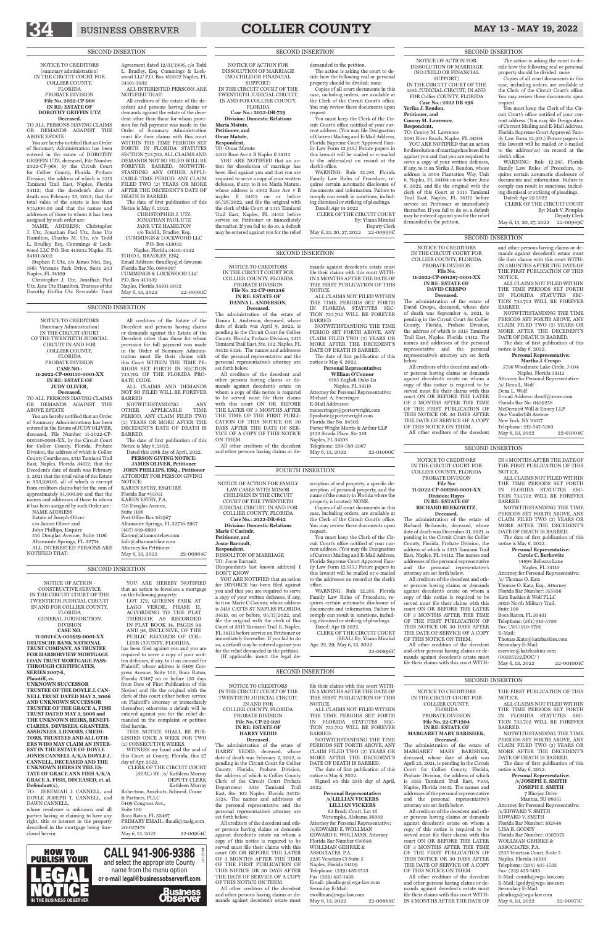## BUSINESS OBSERVER **COLLIER COUNTY** MAY 13 - MAY 19, 2022

NOTICE TO CREDITORS IN THE CIRCUIT COURT OF THE TWENTIETH JUDICIAL CIRCUIT IN AND FOR COLLIER COUNTY, FLORIDA PROBATE DIVISION **File No. CP-22-920 IN RE: ESTATE OF HARRY YEDID Deceased.**

The administration of the estate of HARRY YEDID, deceased, whose date of death was February 2, 2022, is pending in the Circuit Court for Collier<br>County, Florida, Probate Division, Florida, Probate Division. the address of which is Collier County Clerk of the Circuit Court Probate Department 3315 Tamiami East, Ste. 102 Naples, Florida 34112- 5324. The names and addresses of the personal representative and the personal representative's attorney are set forth below.

63 Brody Court, Lot 16 Wetumpka, Alabama 36092 Attorney for Personal Representative: /s/EDWARD E. WOLLMAN EDWARD E. WOLLMAN, Attorney Florida Bar Number 618640 WOLLMAN GEHRKE & ASSOCIATES, P.A. 2235 Venetian Ct Suite 5 Naples, Florida 34109 Telephone: (239) 435-1533 Fax: (239) 435-1433 Email: pleadings@wga-law.com Seconday E-Mail: ewollman@wga-law.com May 6, 13, 2022 22-00969C

All creditors of the decedent and other persons having claims or demands against decedent's estate on whom a copy of this notice is required to be served must file their claims with this court ON OR BEFORE THE LATER OF 3 MONTHS AFTER THE TIME OF THE FIRST PUBLICATION OF THIS NOTICE OR 30 DAYS AFTER THE DATE OF SERVICE OF A COPY OF THIS NOTICE ON THEM.

All other creditors of the decedent and other persons having claims or demands against decedent's estate must file their claims with this court WITH-IN 3 MONTHS AFTER THE DATE OF THE FIRST PUBLICATION OF THIS NOTICE.

ALL CLAIMS NOT FILED WITHIN THE TIME PERIODS SET FORTH IN FLORIDA STATUTES SEC-TION 733.702 WILL BE FOREVER BARRED.

NOTWITHSTANDING THE TIME PERIODS SET FORTH ABOVE, ANY CLAIM FILED TWO (2) YEARS OR MORE AFTER THE DECEDENT'S DATE OF DEATH IS BARRED.

JEREMIAH J. CANNELL, and DOYLE JOSEPH T. CANNELL, and DAWN CANNELL,

The date of first publication of this notice is May 6, 2022.

Signed on this 28th day of April, 2022.

**Personal Representative: /s/LILLIAN VICKERS LILLIAN VICKERS**

ess Avenue, Suite 100, Boca Raton Florida 33487 on or before (30 days from Date of First Publication of this Notice) and file the original with the clerk of this court either before service on Plaintiff's attorney or immediately thereafter; otherwise a default will be entered against you for the relief demanded in the complaint or petition filed herein.

CLERK OF THE CIRCUIT COURT (SEAL) BY: /s/ Kathleen Murray DEPUTY CLERK Kathleen Murray Robertson, Anschutz, Schneid, Crane & Partners, PLLC 6409 Congress Ave., Suite 100 Boca Raton, FL 33487 PRIMARY EMAIL: flmail@raslg.com 20-037478 May 6, 13, 2022 22-00964C

#### SECOND INSERTION

YOU ARE HEREBY NOTIFIED that an action to foreclose a mortgage on the following property: LOT 172, QUEENS PARK AT LAGO VERDE, PHASE II, ACCORDING TO THE PLAT THEREOF, AS RECORDED IN PLAT BOOK 14, PAGES 94 AND 95, INCLUSIVE, OF THE PUBLIC RECORDS OF COL-SECOND INSERTION

May 6, 13, 2022 22-00984C

NOTICE OF ACTION - CONSTRUCTIVE SERVICE IN THE CIRCUIT COURT OF THE TWENTIETH JUDICIAL CIRCUIT IN AND FOR COLLIER COUNTY, **FLORIDA** GENERAL JURISDICTION DIVISION **CASE NO. 11-2021-CA-000919-0001-XX DEUTSCHE BANK NATIONAL TRUST COMPANY, AS TRUSTEE FOR HARBORVIEW MORTGAGE LOAN TRUST MORTGAGE PASS-THROUGH CERTIFICATES,** 

#### **SERIES 2007-6, Plaintiff, vs.**

#### **UNKNOWN SUCCESSOR TRUSTEE OF THE DOYLE J. CAN-NELL TRUST DATED MAY 3, 2006 AND UNKNOWN SUCCESSOR TRUSTEE OF THE GRACE A. FISH TRUST DATED MAY 3, 2006 and THE UNKNOWN HEIRS, BENEFI-CIARIES, DEVISEES, GRANTEES, ASSIGNEES, LIENORS, CREDI-TORS, TRUSTEES AND ALL OTH-ERS WHO MAY CLAIM AN INTER-EST IN THE ESTATE OF DOYLE JONES CANNELL A/K/A DOYLE J. CANNELL, DECEASED AND THE UNKNOWN HEIRS IN THE ES-TATE OF GRACE ANN FISH A/K/A GRACE A. FISH, DECEASED, et. al. Defendant(s),**

whose residence is unknown and all parties having or claiming to have any right, title or interest in the property described in the mortgage being foreclosed herein.

LIER COUNTY, FLORIDA. has been filed against you and you are required to serve a copy of your written defenses, if any, to it on counsel for Plaintiff, whose address is 6409 Con-

THIS NOTICE SHALL BE PUB-LISHED ONCE A WEEK FOR TWO (2) CONSECUTIVE WEEKS.

WITNESS my hand and the seal of this Court at County, Florida, this 27 day of Apr, 2022.

NOTICE TO CREDITORS IN THE CIRCUIT COURT FOR COLLIER COUNTY, FLORIDA PROBATE DIVISION **File No. 11-2022-CP-001287-0001-XX IN RE: ESTATE OF DAVID CRESPO Deceased.** The administration of the estate of David Crespo, deceased, whose date of death was September 4, 2021, is pending in the Circuit Court for Collier County, Florida, Probate Division, the address of which is 3315 Tamiami Trail East, Naples, Florida 34112. The names and addresses of the personal representative and the personal representative's attorney are set forth

> 7 Bluejay Drive Mantua, NJ 08051 Attorney for Personal Representative: /s/EDWARD V. SMITH EDWARD V. SMITH Florida Bar Number: 102848 LISA B. GODDY Florida Bar Number: 0507075 WOLLMAN GEHRKE & ASSOCIATES, P.A. 2235 Venetian Court, Suite 5 Naples, Florida 34109 Telephone: (239) 435-1533 Fax: (239 435-1433 E-Mail: esmith@wga-law.com E-Mail: lgoddy@wga-law.com Secondary E-Mail: pleadings@wga-law.com May 6, 13, 2022 22-00971C

below.

All creditors of the decedent and other persons having claims or demands against decedent's estate on whom a copy of this notice is required to be served must file their claims with this

OF 3 MONTHS AFTER THE TIME OF THE FIRST PUBLICATION OF

court ON OR BEFORE THE LATER THIS NOTICE OR 30 DAYS AFTER OF THIS NOTICE ON THEM.

May 6, 13, 2022 22-01000C

THE DATE OF SERVICE OF A COPY

All other creditors of the decedent

and other persons having claims or demands against decedent's estate must file their claims with this court WITH-IN 3 MONTHS AFTER THE DATE OF THE FIRST PUBLICATION OF THIS NOTICE.

ALL CLAIMS NOT FILED WITHIN THE TIME PERIODS SET FORTH IN FLORIDA STATUTES SEC-TION 733.702 WILL BE FOREVER BARRED.

NOTWITHSTANDING THE TIME PERIODS SET FORTH ABOVE, ANY CLAIM FILED TWO (2) YEARS OR MORE AFTER THE DECEDENT'S DATE OF DEATH IS BARRED.

The date of first publication of this notice is May 6, 2022.

**Personal Representative: Martha J. Crespo**

5796 Woodmere Lake Circle, J-104 Naples, Florida 34112

Attorney for Personal Representative: /s/ Dena L. Wolf

Dena L. Wolf

E-mail Address: dwolf@mwe.com Florida Bar No. 0439258 McDermott Will & Emery LLP One Vanderbilt Avenue New York, NY 10017 Telephone: 212-547-5383

May 6, 13, 2022 22-01004C

#### SECOND INSERTION

NOTICE OF ACTION FOR FAMILY LAW CASES WITH MINOR CHILDREN IN THE CIRCUIT COURT OF THE TWENTIETH JUDICIAL CIRCUIT, IN AND FOR COLLIER COUNTY, FLORIDA **Case No.: 2022-DR-642 Division: Domestic Relations Marie C Casimir, Petitioner, and Josue Barrault, Respondent.** DISSOLITON OF MARRIAGE TO: Josue Barrault

{Respondent's last known address} I

DON'T KNOW

YOU ARE NOTIFIED that an action for DIVORCE has been filed against you and that you are required to serve a copy of your written defenses, if any, to it on Marie C Casimir, whose address is 5418 CATTS ST NAPLES FLORIDA 34113, on or before, 05/17/2022, and file the original with the clerk of this Court at 3315 Tamiami Trail E. Naples,

FL 34112 before service on Petitioner or immediately thereafter. If you fail to do so, a default may be entered against you for the relief demanded in the petition. {If applicable, insert the legal de-

scription of real property, a specific description of personal property, and the

name of the county in Florida where the property is located} NONE. Copies of all court documents in this

case, including orders, are available at the Clerk of the Circuit Court's office. You may review these documents upon

request.

You must keep the Clerk of the Circuit Court's office notified of your current address. (You may file Designation of Current Mailing and E-Mail Address, Florida Supreme Court Approved Family Law Form 12.915.) Future papers in this lawsuit will be mailed or e-mailed to the addresses on record at the clerk's office.

> (00335122.DOC/ ) May 6, 13, 2022 22-001001C

WARNING: Rule 12.285, Florida Family Law Rules of Procedure, requires certain automatic disclosure of documents and information. Failure to comply can result in sanctions, including dismissal or striking of pleadings. Dated: Apr 19 2022.

CLERK OF THE CIRCUIT COURT

(SEAL) By: Yliana Mirabal Apr. 22, 29; May 6, 13, 2022

22-00896C

FOURTH INSERTION

## NOTICE TO CREDITORS

IN THE CIRCUIT COURT FOR COLLIER COUNTY,

FLORIDA PROBATE DIVISION **File No. 22-CP-1204 IN RE: ESTATE OF MARGARET MARY BARISHEK,**

#### **Deceased.**

The administration of the estate of MARGARET MARY BARISHEK, deceased, whose date of death was April 23, 2021, is pending in the Circuit Court for Collier County, Florida, Probate Division, the address of which is 3315 Tamiami Trail East, #103, Naples, Florida 34112. The names and addresses of the personal representative and the personal representative's attorney are set forth below.

All creditors of the decedent and other persons having claims or demands against decedent's estate on whom a copy of this notice is required to be served must file their claims with this court ON OR BEFORE THE LATER OF 3 MONTHS AFTER THE TIME OF THE FIRST PUBLICATION OF THIS NOTICE OR 30 DAYS AFTER THE DATE OF SERVICE OF A COPY OF THIS NOTICE ON THEM.

All other creditors of the decedent and other persons having claims or demands against decedent's estate must file their claims with this court WITH-IN 3 MONTHS AFTER THE DATE OF

#### THE FIRST PUBLICATION OF THIS NOTICE.

ALL CLAIMS NOT FILED WITHIN THE TIME PERIODS SET FORTH IN FLORIDA STATUTES SEC-TION 733.702 WILL BE FOREVER BARRED.

NOTWITHSTANDING THE TIME PERIODS SET FORTH ABOVE, ANY CLAIM FILED TWO (2) YEARS OR MORE AFTER THE DECEDENT'S DATE OF DEATH IS BARRED.

NOTWITHSTANDING ANY<br>OTHER APPLICABLE TIME OTHER APPLICABLE TIME PERIOD, ANY CLAIM FILED TWO (2) YEARS OR MORE AFTER THE DECEDENT'S DATE OF DEATH IS

> The date of first publication of this notice is May 6, 2022.

#### **Personal Representative: /s/JOSEPH E. SMITH JOSEPH E. SMITH**

SECOND INSERTION

NOTICE OF ACTION FOR DISSOLUTION OF MARRIAGE (NO CHILD OR FINANCIAL

SUPPORT) IN THE CIRCUIT COURT OF THE TWENTIETH JUDICIAL CIRCUIT, IN AND FOR COLLIER COUNTY, FLORIDA

**Case No.: 2022-DR-739 Division: Domestic Relations**

**Maria Matute, Petitioner, and**

**Omar Matute,**

**Respondent,** TO: Omar Matute

4302 Rose Ave # B Naples fl 34112 YOU ARE NOTIFIED that an action for dissolution of marriage has been filed against you and that you are required to serve a copy of your written defenses, if any, to it on Maria Matute, whose address is 4302 Rose Ave # B naples fl 34112 on or before 05/26/2022, and file the original with the clerk of this Court at 3315 Tamiami Trail East, Naples, FL 34112 before service on Petitioner or immediately

P.O. Box 413032 Naples, Florida 34101-3032 May 6, 13, 2022 22-00981C thereafter. If you fail to do so, a default may be entered against you for the relief

demanded in the petition.

The action is asking the court to decide how the following real or personal property should be divided: none Copies of all court documents in this

case, including orders, are available at the Clerk of the Circuit Court's office.

You may review these documents upon request. You must keep the Clerk of the Circuit Court's office notified of your current address. (You may file Designation of Current Mailing and E-Mail Address, Florida Supreme Court Approved Family Law Form 12.915.) Future papers in this lawsuit will be mailed or e-mailed to the address(es) on record at the

clerk's office. WARNING: Rule 12.285, Florida Family Law Rules of Procedure, requires certain automatic disclosure of documents and information. Failure to comply can result in sanctions, including dismissal or striking of pleadings. Dated: Apr 14 2022

CLERK OF THE CIRCUIT COURT By: Yliana Mirabal Deputy Clerk

May 6, 13, 20, 27, 2022 22-00990C

SECOND INSERTION

NOTICE TO CREDITORS IN THE CIRCUIT COURT FOR COLLIER COUNTY, FLORIDA PROBATE DIVISION **File No. 22-CP-001246 IN RE: ESTATE OF DANNA L. ANDERSON, Deceased.** The administration of the estate of Danna L. Anderson, deceased, whose date of death was April 9, 2022, is pending in the Circuit Court for Collier County, Florida, Probate Division, 3315 Tamiami Trail East, Ste. 102, Naples, FL 34112-5324. The names and addresses of the personal representative and the personal representative's attorney are

set forth below.

All creditors of the decedent and other persons having claims or demands against decedent's estate on whom a copy of this notice is required to be served must file their claims with this court ON OR BEFORE THE LATER OF 3 MONTHS AFTER THE TIME OF THE FIRST PUBLI-CATION OF THIS NOTICE OR 30 DAYS AFTER THE DATE OF SER-VICE OF A COPY OF THIS NOTICE

ON THEM.

All other creditors of the decedent and other persons having claims or de-

#### mands against decedent's estate must file their claims with this court WITH-IN 3 MONTHS AFTER THE DATE OF THE FIRST PUBLICATION OF THIS NOTICE.

ALL CLAIMS NOT FILED WITHIN THE TIME PERIODS SET FORTH IN FLORIDA STATUTES SEC-TION 733.702 WILL BE FOREVER BARRED.

NOTWITHSTANDING THE TIME PERIOD SET FORTH ABOVE, ANY CLAIM FILED TWO (2) YEARS OR MORE AFTER THE DECEDENT'S DATE OF DEATH IS BARRED. The date of first publication of this

notice is May 6, 2022. **Personal Representative:**

**William O'Connor** 6185 English Oaks Ln Naples, FL 34119 Attorney for Personal Representative: Michael A. Sneeringer E-Mail Addresses: msneeringer@porterwright.com flprobate@porterwright.com Florida Bar No. 94502 Porter Wright Morris & Arthur LLP 9132 Strada Place, Ste 301 Naples, FL 34108 Telephone: 239-593-2967

#### SECOND INSERTION

NOTICE TO CREDITORS IN THE CIRCUIT COURT FOR COLLIER COUNTY, FLORIDA PROBATE DIVISION

#### **File No: 11-2022-CP-001286-0001-XX Division: Hayes IN RE: ESTATE OF RICHARD BERKOWITZ,**

**Deceased.** The administration of the estate of Richard Berkowitz, deceased, whose date of death was December 31, 2021, is pending in the Circuit Court for Collier County, Florida, Probate Division, the address of which is 3315 Tamiami Trail East, Naples, FL 34112. The names and addresses of the personal representative and the personal representative's attorney are set forth below.

All creditors of the decedent and other persons having claims or demands against decedent's estate on whom a copy of this notice is required to be served must file their claims with this court ON OR BEFORE THE LATER OF 3 MONTHS AFTER THE TIME OF THE FIRST PUBLICATION OF THIS NOTICE OR 30 DAYS AFTER THE DATE OF SERVICE OF A COPY OF THIS NOTICE ON THEM.

All other creditors of the decedent and other persons having claims or demands against decedent's estate must file their claims with this court WITH-

IN 3 MONTHS AFTER THE DATE OF THE FIRST PUBLICATION OF THIS NOTICE.

ALL CLAIMS NOT FILED WITHIN THE TIME PERIODS SET FORTH IN FLORIDA STATUTES SEC-TION 733.702 WILL BE FOREVER BARRED.

NOTWITHSTANDING THE TIME PERIODS SET FORTH ABOVE, ANY CLAIM FILED TWO (2) YEARS OR MORE AFTER THE DECEDENT'S DATE OF DEATH IS BARRED.

The date of first publication of this notice is May 6, 2022.

**Personal Representative: Carole C. Berkowitz** 14898 Bellezza Lane

Naples, FL 34110 Attorney for Personal Representative: /s/ Thomas O. Katz

Thomas O. Katz, Esq., Attorney Florida Bar Number: 355836 Katz Baskies & Wolf PLLC 3020 North Military Trail,

Suite 100 Boca Raton, FL 33431

Telephone: (561) 910-5700 Fax: (561) 910-5701

E-Mail: Thomas.Katz@katzbaskies.com Secondary E-Mail: eservice@katzbaskies.com

#### SECOND INSERTION

NOTICE OF ACTION FOR DISSOLUTION OF MARRIAGE (NO CHILD OR FINANCIAL SUPPORT) IN THE CIRCUIT COURT OF THE 20th JUDICIAL CIRCUIT, IN AND FOR Collier COUNTY, FLORIDA **Case No.: 2022 DR 896**

**Yerika J. Rendon, Petitioner, and Conroy M. Lawrence, Respondent,** TO: Conroy M. Lawrence 2081 River Reach, Naples, FL 34104 YOU ARE NOTIFIED that an action for dissolution of marriage has been filed against you and that you are required to serve a copy of your written defenses, if any, to it on Yerika J. Rendon, whose address is 3504 Plantation Way, Unit 6, Naples, FL 34104 on or before June 6, 2022, and file the original with the clerk of this Court at 3315 Tamiami Trail East, Naples, FL 34112 before service on Petitioner or immediately thereafter. If you fail to do so, a default may be entered against you for the relief

demanded in the petition.

The action is asking the court to decide how the following real or personal property should be divided: none

Copies of all court documents in this case, including orders, are available at the Clerk of the Circuit Court's office. You may review these documents upon request.

You must keep the Clerk of the Circuit Court's office notified of your current address. (You may file Designation of Current Mailing and E-Mail Address, Florida Supreme Court Approved Family Law Form 12.915.) Future papers in this lawsuit will be mailed or e-mailed to the address(es) on record at the clerk's office.

WARNING: Rule 12.285, Florida Family Law Rules of Procedure, requires certain automatic disclosure of documents and information. Failure to comply can result in sanctions, including dismissal or striking of pleadings.

Dated: Apr 29 2022 CLERK OF THE CIRCUIT COURT By: Mark V. Pomplas

Deputy Clerk

May 6, 13, 20, 27, 2022 22-00989C

#### SECOND INSERTION

NOTICE TO CREDITORS (Summary Administration) IN THE CIRCUIT COURT OF THE TWENTIETH JUDICIAL CIRCUIT IN AND FOR COLLIER COUNTY, FLORIDA PROBATE DIVISION **CASE NO.: 11-2022-CP-001150-0001-XX**

#### **IN RE: ESTATE OF JUDY OLIVER, Deceased.**

TO ALL PERSONS HAVING CLAIMS OR DEMANDS AGAINST THE ABOVE ESTATE

You are hereby notified that an Order of Summary Administrations has been entered in the Estate of JUDY OLIVER, deceased, File Number 11-2022-CP-001150-0001-XX, by the Circuit Court for Collier County, Florida, Probate Division, the address of which is Collier County Courthouse, 3315 Tamiami Trail East, Naples, Florida 34112; that the Decedent's date of death was February 3, 2021 that the total value of the Estate is \$53,990.81, all of which is exempt from creditors claims but for the sum of approximately \$1,000.00 and that the names and addresses of those to whom it has been assigned by such Order are: NAME ADDRESS

Estate of Joseph Oliver c/o James Oliver and John Phillips, Esquire 516 Douglas Avenue, Suite 1106 Altamonte Springs, FL 32714 ALL INTERESTED PERSONS ARE

NOTIFIED THAT:

All creditors of the Estate of the Decedent and persons having claims or demands against the Estate of the Decedent other than those for whom provision for full payment was made in the Order of Summary Administration must file their claims with this Court WITHIN THE TIME PE-RIODS SET FORTH IN SECTION 733.702 OF THE FLORIDA PRO-

BATE CODE.

**BARRED** 

ALL CLAIMS AND DEMANDS NOT SO FILED WILL BE FOREVER

BARRED.

The date of first publication of this

Notice is May 6, 2022.

Dated this 29th day of April, 2022. **PERSON GIVING NOTICE: JAMES OLIVER, Petitioner JOHN PHILLIPS, ESQ., Petitioner** ATTORNEY FOR PERSON GIVING

NOTICE:

KAREN ESTRY, ESQUIRE Florida Bar #91051 KAREN ESTRY, P.A. 516 Douglas Avenue, Suite 1106 Post Office Box 162967

Altamonte Springs, FL 32716-2967

(407) 869-0900 Karen@altamontelaw.com Info@altamontelaw.com Attorney for Petitioner

SECOND INSERTION

NOTICE TO CREDITORS (summary administration) IN THE CIRCUIT COURT FOR COLLIER COUNTY, FLORIDA PROBATE DIVISION **File No. 2022-CP-968 IN RE: ESTATE OF DOROTHY GRIFFIN UTZ Deceased.**

TO ALL PERSONS HAVING CLAIMS OR DEMANDS AGAINST THE

ABOVE ESTATE:

You are hereby notified that an Order of Summary Administration has been entered in the estate of DOROTHY GRIFFIN UTZ, deceased, File Number 2022-CP-968, by the Circuit Court for Collier County, Florida, Probate Division, the address of which is 3315 Tamiami Trail East, Naples, Florida 34112; that the decedent's date of death was February 25, 2022; that the total value of the estate is less than \$75,000.00 and that the names and addresses of those to whom it has been

NAME, ADDRESS; Christopher J. Utz, Jonathan Paul Utz, Jane Utz Hamilton, Charles M. Utz, c/o Todd L. Bradley, Esq. Cummings & Lockwood LLC P.O. Box 413032 Naples, FL 34101-3032

Stephen P. Utz, c/o James Nici, Esq.

1865 Veterans Park Drive, Suite 203 Naples, FL 34109

Christopher J. Utz, Jonathan Paul

Utz, Jane Utz Hamilton, Trustees of the Dorothy Griffin Utz Revocable Trust

Agreement dated 12/31/1996, c/o Todd L. Bradley, Esq. Cummings & Lockwood LLC P.O. Box 413032 Naples, FL

34101-3032

ALL INTERESTED PERSONS ARE

NOTIFIED THAT:

assigned by such order are: CUMMINGS & LOCKWOOD LLC TODD L. BRADLEY, ESQ. Email Address: tbradley@cl-law.com

All creditors of the estate of the decedent and persons having claims or demands against the estate of the decedent other than those for whom provision for full payment was made in the Order of Summary Administration must file their claims with this court

WITHIN THE TIME PERIODS SET FORTH IN FLORIDA STATUTES SECTION 733.702. ALL CLAIMS AND DEMANDS NOT SO FILED WILL BE FOREVER BARRED. NOTWITH-STANDING ANY OTHER APPLI-CABLE TIME PERIOD, ANY CLAIM FILED TWO (2) YEARS OR MORE AFTER THE DECEDENT'S DATE OF DEATH IS BARRED. The date of first publication of this Notice is May 6, 2022. CHRISTOPHER J. UTZ

JONATHAN PAUL UTZ JANE UTZ HAMILTON c/o Todd L. Bradley, Esq.

P.O. Box 413032 Naples, Florida 34101-3032

Florida Bar No. 0898007 CUMMINGS & LOCKWOOD LLC

#### SECOND INSERTION



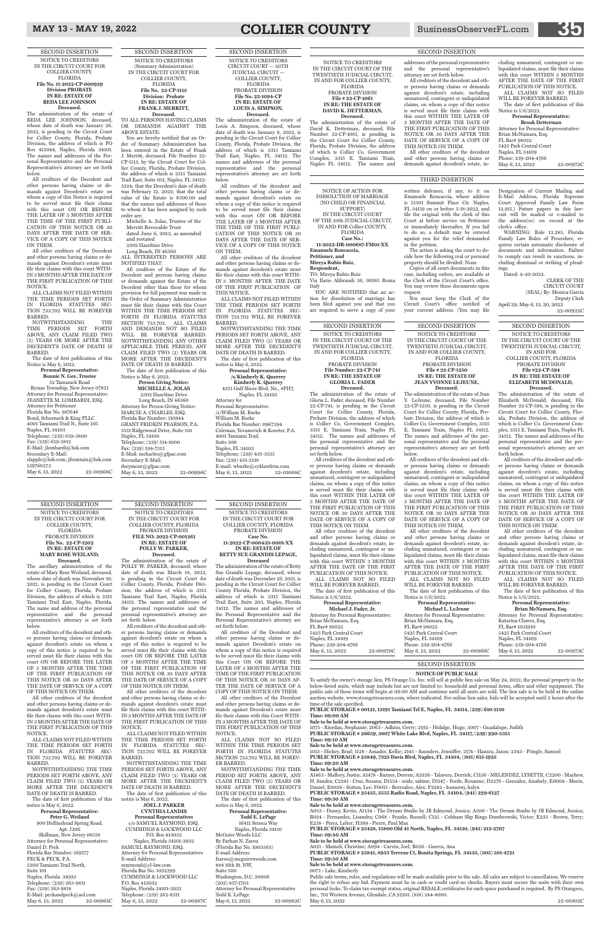#### **NOTICE OF PUBLIC SALE**

To satisfy the owner's storage lien, PS Orange Co. Inc. will sell at public lien sale on May 24, 2022, the personal property in the below-listed units, which may include but are not limited to: household and personal items, office and other equipment. The public sale of these items will begin at 09:00 AM and continue until all units are sold. The lien sale is to be held at the online auction website, www.storagetreasures.com, where indicated. For online lien sales, bids will be accepted until 2 hours after the time of the sale specified.

**PUBLIC STORAGE # 00121, 13191 Tamiami Trl E, Naples, FL 34114, (239) 610-1150 Time: 09:00 AM**

**Sale to be held at www.storagetreasures.com.**

1075 - Riordan, Stephanie; 2063 - Adkins, Gerry; 2192 - Hidalgo, Hugo; 3007 - Guadalupe, Judith **PUBLIC STORAGE # 26659, 3807 White Lake Blvd, Naples, FL 34117, (239) 920-5315**

**Time: 09:10 AM**

**Sale to be held at www.storagetreasures.com.** 1013 - Hickey, Brad; 1128 - Amador, Kellie; 2145 - Saunders, Jenniffer; 2174 - Hansra, Jason; 2343 - Pringle, Samuel **PUBLIC STORAGE # 25849, 7325 Davis Blvd, Naples, FL 34104, (305) 615-1925**

Public sale terms, rules, and regulations will be made available prior to the sale. All sales are subject to cancellation. We reserve the right to refuse any bid. Payment must be in cash or credit card-no checks. Buyers must secure the units with their own personal locks. To claim tax-exempt status, original RESALE certificates for each space purchased is required. By PS Orangeco, Inc., 701 Western Avenue, Glendale, CA 91201. (818) 244-8080. May 6, 13, 2022 22-01002C

**Time: 09:20 AM**

#### **Sale to be held at www.storagetreasures.com.**

A1463 - Mallory, Justin; A1478 - Barnes, Doreen; A3326 - Talavera, Derrick; C1136 - MELENDEZ, LYSETTE; C2200 - Mayhew, H. Sandra; C2241 - Cruz, Susana; D1134 - seide, sabine; D1147 - Forde, Roxanne; D2276 - Gonzalez, Aixabely; E0004 - Morin, Daniel; E0028 - Sutton, Lee; F0015 - Berroaleo, Alex; F2242 - komorny, kalyn

**PUBLIC STORAGE # 25435, 3555 Radio Road, Naples, FL 34104, (941) 229-6127**

**Time: 09:30 AM**

#### **Sale to be held at www.storagetreasures.com.**

**Deceased.**<br>The administration of the estate of Gloria L. Fader, deceased, File Number 22-CP-741, is pending in the Circuit Court for Collier County, Florida, Probate Division, the address of which is Collier Co. Government Complex, 3315 E. Tamiami Train, Naples FL 34112. The names and addresses of the personal representative and the personal representative's attorney are set forth below.

A053 - Doney, Kevin; A1134 - The Dream Studio by JB Edmond, Jessica; A500 - The Dream Studio by JB Edmond, Jessica; B024 - Fernandez, Lisandra; C068 - Franks, Russell; C125 - Cobham Slip Rings Dombrowski, Victor; E233 - Brown, Terry; E238 - Perez, Lelier; H389 - Pierre, Paul Max

**PUBLIC STORAGE # 25428, 15800 Old 41 North, Naples, FL 34110, (941) 212-2707**

**Time: 09:40 AM**

**Sale to be held at www.storagetreasures.com.**

Attorney for Personal Representative: Brian McNamara, Esq. FL Bar# 98022 5425 Park Central Court Naples, FL 34109 Phone: 239-204-4766 May 6, 13, 2022 22-00970C

A021 - Mameli, Christine; A094 - Carvin, Joel; B026 - Guerra, Ana

**PUBLIC STORAGE # 25841, 8953 Terrene Ct, Bonita Springs, FL 34135, (305) 501-4721 Time: 09:50 AM**

**Sale to be held at www.storagetreasures.com.**

0071 - Lake, Kimberly

SECOND INSERTION

SECOND INSERTION NOTICE TO CREDITORS IN THE CIRCUIT COURT OF THE TWENTIETH JUDICIAL CIRCUIT, IN AND FOR COLLIER COUNTY,

| Michael L. LeJeune                    |           |  |
|---------------------------------------|-----------|--|
| Attorney for Personal Representative: |           |  |
| Brian McNamara, Esq.                  |           |  |
| FL Bar# 98022                         |           |  |
| 5425 Park Central Court               |           |  |
| Naples, FL 34109                      |           |  |
| Phone: 239-204-4766                   |           |  |
| May 6, 13, 2022                       | 22-00966C |  |
|                                       |           |  |

FLORIDA PROBATE DIVISION **File Number: 22-CP-741 IN RE: THE ESTATE OF GLORIA L. FADER**

All creditors of the decedent and other persons having claims or demands against decedent's estate, including unmatured, contingent or unliquidated claims, on whom a copy of this notice is served must file their claims with this court WITHIN THE LATER OF 3 MONTHS AFTER THE DATE OF THE FIRST PUBLICATION OF THIS NOTICE OR 30 DAYS AFTER THE DATE OF SERVICE OF A COPY OF THIS NOTICE ON THEM.

**Personal Representative: Peter G. Weiland** 900 Hollinshead Spring Road, Apt. J206 Skillman, New Jersey 08558 Attorney for Personal Representative: Daniel D. Peck Florida Bar Number: 169177 PECK & PECK, P.A. 5200 Tamiami Trail North, Suite 101 Naples, Florida 34103 Telephone: (239) 263-9811 Fax: (239) 263-9818 E-Mail: peckandpeck@aol.com<br>May 6, 13, 2022 22-00965C May 6, 13, 2022

All other creditors of the decedent and other persons having claims or demands against decedent's estate, including unmatured, contingent or unliquidated claims, must file their claims with this court WITHIN 3 MONTHS AFTER THE DATE OF THE FIRST PUBLICATION OF THIS NOTICE. ALL CLAIMS NOT SO FILED

WILL BE FOREVER BARRED. The date of first publication of this

Notice is 5/6/2022. **Personal Representative:** 

**Michael J. Fader, Jr.**

#### SECOND INSERTION

NOTICE TO CREDITORS IN THE CIRCUIT COURT OF THE TWENTIETH JUDICIAL CIRCUIT, IN AND FOR COLLIER COUNTY,

FLORIDA PROBATE DIVISION **File # 22-CP-1250 IN RE: THE ESTATE OF JEAN YVONNE LEJEUNE, Deceased.**

**JOEL J. PARKER CYNTHIA LANDIS Personal Representatives** c/o SAMUEL RAYMOND, ESQ. CUMMINGS & LOCKWOOD LLC P.O. Box 413032 Naples, Florida 34101-3032 SAMUEL RAYMOND, ESQ. Attorney for Personal Representatives E-mail Address: sraymond@cl-law.com Florida Bar No. 1032399 CUMMINGS & LOCKWOOD LLC P.O. Box 413032 Naples, Florida 34101-3032 Telephone: (239) 262-8311<br>May 6, 13, 2022 22-00967C May 6, 13, 2022

The administration of the estate of Jean Y. LeJeune, deceased, File Number 22-CP-1250, is pending in the Circuit Court for Collier County, Florida, Probate Division, the address of which is Collier Co. Government Complex, 3315 E. Tamiami Train, Naples FL 34112. The names and addresses of the personal representative and the personal representative's attorney are set forth below.

All creditors of the decedent and other persons having claims or demands against decedent's estate, including unmatured, contingent or unliquidated claims, on whom a copy of this notice is served must file their claims with this court WITHIN THE LATER OF 3 MONTHS AFTER THE DATE OF THE FIRST PUBLICATION OF THIS NOTICE OR 30 DAYS AFTER THE DATE OF SERVICE OF A COPY OF THIS NOTICE ON THEM.

All other creditors of the decedent and other persons having claims or demands against decedent's estate, including unmatured, contingent or unliquidated claims, must file their claims with this court WITHIN 3 MONTHS AFTER THE DATE OF THE FIRST PUBLICATION OF THIS NOTICE.

All other creditors of the decedent and other persons having claims or demands against decedent's estate, including unmatured, contingent or unliquidated claims, must file their claims with this court WITHIN 3 MONTHS AFTER THE DATE OF THE FIRST PUBLICATION OF THIS NOTICE. ALL CLAIMS NOT SO FILED WILL BE FOREVER BARRED.

The date of first publication of this Notice is 5/6/2022.

#### **Personal Representative:**

#### SECOND INSERTION NOTICE TO CREDITORS

IN THE CIRCUIT COURT FOR COLLIER COUNTY, FLORIDA PROBATE DIVISION **File No. 22-CP-1202 IN RE: ESTATE OF MARY ROSE WEILAND, Deceased.**

> SHOP.<br>ALL CLAIMS NOT SO FILED WITHIN THE TIME PERIODS SET FORTH IN FLORIDA STATUTES SECTION 733.702 WILL BE FOREV-ER BARRED.

The ancillary administration of the estate of Mary Rose Weiland, deceased, whose date of death was November 10, 2021, is pending in the Circuit Court for Collier County, Florida, Probate Division, the address of which is 3315 Tamiami Trail East, Naples, Florida. The name and address of the personal representative and the personal representative's attorney is set forth below.

> **Personal Representative: Todd E. LePage** 16411 Seneca Way Naples, Florida 34110 McGuire Woods LLC By Farhan N. Zarou (Florida Bar No. 1003563) E-mail Address: fzarou@mcguirewoods.com 888 16th St. NW, Suite 500 Washington, D.C. 20006 (202) 857-1703 Attorney for Personal Representative Todd E. LePage May 6, 13, 2022 22-00982C

All creditors of the decedent and other persons having claims or demands against decedent's estate on whom a copy of this notice is required to be served must file their claims with this court ON OR BEFORE THE LATER OF 3 MONTHS AFTER THE TIME

OF THE FIRST PUBLICATION OF THIS NOTICE OR 30 DAYS AFTER THE DATE OF SERVICE OF A COPY OF THIS NOTICE ON THEM.

All other creditors of the decedent and other persons having claims or demands against decedent's estate must file their claims with this court WITH-IN 3 MONTHS AFTER THE DATE OF THE FIRST PUBLICATION OF THIS NOTICE.

ALL CLAIMS NOT FILED WITHIN THE TIME PERIODS SET FORTH IN FLORIDA STATUTES SEC-TION 733.702 WILL BE FOREVER BARRED.

52 Tamarack Road Byram Township, New Jersey 07821 Attorney for Personal Representative: JEANETTE M. LOMBARDI, ESQ. Attorney for Petitioner Florida Bar No. 987646 Bond, Schoeneck & King PLLC 4001 Tamiami Trail N., Suite 105 Naples, FL 34103 Telephone: (239) 659-3800 Fax: (239) 659-3812 E-Mail: jlombardi@bsk.com Secondary E-Mail: slapple@bsk.com; jfountain@bsk.com 13976827.1 May 6, 13, 2022 22-00968C

NOTWITHSTANDING THE TIME PERIODS SET FORTH ABOVE, ANY CLAIM FILED TWO (2) YEARS OR MORE AFTER THE DECEDENT'S DATE OF DEATH IS BARRED.

The date of first publication of this notice is May 6, 2022.

SECOND INSERTION NOTICE TO CREDITORS IN THE CIRCUIT COURT FOR COLLIER COUNTY, FLORIDA PROBATE DIVISION **FILE NO. 2022-CP-001261 IN RE: ESTATE OF POLLY W. PARKER,**

**Deceased.** The administration of the estate of POLLY W. PARKER, deceased, whose date of death was March 18, 2022, is pending in the Circuit Court for Collier County, Florida, Probate Division, the address of which is 3315 Tamiami Trail East, Naples, Florida 34112. The names and addresses of the personal representative and the personal representative's attorney are set forth below.

The date of first publication of this Notice is May 6, 2022.

#### **Person Giving Notice: MICHELLE A. JOLAS** 2302 Hazeltine Drive Long Beach, IN 46360 Attorney for Person Giving Notice: MARCIE A. CHARLES, ESQ. Florida Bar Number: 110944 GRANT FRIDKIN PEARSON, P.A. 5551 Ridgewood Drive, Suite 501 Naples, FL 34108 Telephone: (239) 514-1000 Fax: (239) 594-7313 E-Mail: mcharles@gfpac.com Secondary E-Mail: dseymour@gfpac.com May 6, 13, 2022 22-00996C

All creditors of the decedent and other persons having claims or demands against decedent's estate on whom a copy of this notice is required to be served must file their claims with this court ON OR BEFORE THE LATER OF 3 MONTHS AFTER THE TIME OF THE FIRST PUBLICATION OF

THIS NOTICE OR 30 DAYS AFTER THE DATE OF SERVICE OF A COPY OF THIS NOTICE ON THEM.

All other creditors of the decedent and other persons having claims or demands against decedent's estate must file their claims with this court WITH-IN 3 MONTHS AFTER THE DATE OF THE FIRST PUBLICATION OF THIS NOTICE.

ALL CLAIMS NOT FILED WITHIN THE TIME PERIODS SET FORTH IN FLORIDA STATUTES SEC-TION 733.702 WILL BE FOREVER BARRED.

NOTWITHSTANDING THE TIME PERIODS SET FORTH ABOVE, ANY CLAIM FILED TWO (2) YEARS OR MORE AFTER THE DECEDENT'S DATE OF DEATH IS BARRED.

The date of first publication of this notice is May 6, 2022.

YOU ARE NOTIFIED that an action for dissolution of marriage has been filed against you and that you

> SECOND INSERTION NOTICE TO CREDITORS

IN THE CIRCUIT COURT OF THE TWENTIETH JUDICIAL CIRCUIT, IN AND FOR COLLIER COUNTY, FLORIDA

PROBATE DIVISION **File #22-CP-594 IN RE: THE ESTATE OF ELIZABETH MCDONALD,**

**Deceased.**  The administration of the estate of Elizabeth McDonald, deceased, File Number 22-CP-594, is pending in the Circuit Court for Collier County, Florida, Probate Division, the address of which is Collier Co. Government Complex, 3315 E. Tamiami Train, Naples FL 34112. The names and addresses of the personal representative and the personal representative's attorney are set forth below.

All creditors of the decedent and other persons having claims or demands against decedent's estate, including unmatured, contingent or unliquidated claims, on whom a copy of this notice is served must file their claims with this court WITHIN THE LATER OF 3 MONTHS AFTER THE DATE OF THE FIRST PUBLICATION OF THIS NOTICE OR 30 DAYS AFTER THE DATE OF SERVICE OF A COPY OF THIS NOTICE ON THEM.

ALL CLAIMS NOT SO FILED WILL BE FOREVER BARRED. The date of first publication of this

ALL CLAIMS NOT SO FILED WILL BE FOREVER BARRED. The date of first publication of this Notice is 5/6/2022.

Attorney for Personal Representative: Brian McNamara, Esq. FL Bar# 98022 5425 Park Central Court Naples, FL 34109 Phone: 239-204-4766 May 6, 13, 2022 22-00972C

Notice is 5/6/2022. **Personal Representative: Brian McNamara, Esq.**

Attorney for Personal Representative:

May 6, 13, 2022 22-00973C

Katarina Chavez, Esq. FL Bar# 1031910 5425 Park Central Court Naples, FL 34109 Phone: 239-204-4766

SECOND INSERTION NOTICE TO CREDITORS

IN THE CIRCUIT COURT FOR COLLIER COUNTY, FLORIDA PROBATE DIVISION **Case No. 11-2022-CP-000433-0001-XX IN RE: ESTATE OF**

**BETTY SUE GRANDIS LEPAGE, Deceased** 

The administration of the estate of Betty Sue Grandis Lepage, deceased, whose date of death was December 26, 2021, is pending in the Circuit Court for Collier County Florida, Probate Division, the address of which is 3315 Tamiami Trail East, Suite 203, Naples, Florida 34112. The names and addresses of the Personal Representative and the Personal Representative's attorney are set forth below.

All creditors of the Decedent and other persons having claims or demands against Decedent's estate on whom a copy of this notice is required to be served must file their claims with this Court ON OR BEFORE THE LATER OF 3 MONTHS AFTER THE

#### MAY 13 - MAY 19, 2022 **COLLIER COUNTY** BusinessObserverFL.com

TIME OF THE FIRST PUBLICATION OF THIS NOTICE OR 30 DAYS AF-TER THE DATE OF SERVICE OF A COPY OF THIS NOTICE ON THEM.

All other creditors of the Decedent and other persons having claims or demands against Decedent's estate must file their claims with this Court WITH-IN 3 MONTHS AFTER THE DATE OF THE FIRST PUBLICATION OF THIS NOTICE.

NOTWITHSTANDING THE TIME PERIOD SET FORTH ABOVE, ANY CLAIM FILED TWO (2) YEARS OR MORE AFTER THE DECEDENT'S DATE OF DEATH IS BARRED.

The date of first publication of this notice is May 6, 2022.

#### SECOND INSERTION NOTICE TO CREDITORS IN THE CIRCUIT COURT FOR COLLIER COUNTY, FLORIDA **File No. 11-2022-CP-000929 Division PROBATE IN RE: ESTATE OF BEDA LEE JOHNSON Deceased.**

The administration of the estate of BEDA LEE JOHNSON, deceased, whose date of death was January 26, 2022, is pending in the Circuit Court for Collier County, Florida, Probate Division, the address of which is PO Box 413044, Naples, Florida 34101. The names and addresses of the Personal Representative and the Personal Representative's attorney are set forth below.

All creditors of the Decedent and other persons having claims or demands against Decedent's estate on whom a copy of this Notice is required to be served must file their claims with this court ON OR BEFORE THE LATER OF 3 MONTHS AFTER THE TIME OF THE FIRST PUBLI-CATION OF THIS NOTICE OR 30 DAYS AFTER THE DATE OF SER-VICE OF A COPY OF THIS NOTICE ON THEM.

All other creditors of the Decedent and other persons having claims or demands against Decedent's estate must file their claims with this court WITH-IN 3 MONTHS AFTER THE DATE OF THE FIRST PUBLICATION OF THIS NOTICE.

ALL CLAIMS NOT FILED WITHIN THE TIME PERIODS SET FORTH IN FLORIDA STATUTES SEC-TION 733.702 WILL BE FOREVER BARRED.

NOTWITHSTANDING THE TIME PERIODS SET FORTH ABOVE, ANY CLAIM FILED TWO (2) YEARS OR MORE AFTER THE DECEDENT'S DATE OF DEATH IS BARRED.

The date of first publication of this Notice is May 6, 2022.

**Personal Representative: Bonnie N. Gee, Trustee**

SECOND INSERTION NOTICE TO CREDITORS (Summary Administration) IN THE CIRCUIT COURT FOR COLLIER COUNTY, FLORIDA **File No. 22-CP-1113 Division: Probate IN RE: ESTATE OF FRANK J. MERRITT,** 

**Deceased.** TO ALL PERSONS HAVING CLAIMS OR DEMANDS AGAINST THE ABOVE ESTATE:

You are hereby notified that an Order of Summary Administration has been entered in the Estate of Frank J. Merritt, deceased, File Number 22- CP-1113, by the Circuit Court for Collier County, Florida, Probate Division, the address of which is 3315 Tamiami Trail East, Suite 102, Naples, FL 34112- 5324; that the Decedent's date of death was February 12, 2022; that the total value of the Estate is \$500.00 and that the names and addresses of those to whom it has been assigned by such order are:

Michelle A. Jolas, Trustee of the

Merritt Revocable Trust dated June 6, 2013, as amended

and restated 2302 Hazeltine Drive

Long Beach, IN 46360

ALL INTERESTED PERSONS ARE NOTIFIED THAT:

All creditors of the Estate of the Decedent and persons having claims or demands against the Estate of the Decedent other than those for whom provision for full payment was made in the Order of Summary Administration must file their claims with this Court WITHIN THE TIME PERIODS SET FORTH IN FLORIDA STATUTES SECTION 733.702. ALL CLAIMS AND DEMANDS NOT SO FILED WILL BE FOREVER BARRED. NOTWITHSTANDING ANY OTHER APPLICABLE TIME PERIOD, ANY CLAIM FILED TWO (2) YEARS OR MORE AFTER THE DECEDENT'S DATE OF DEATH IS BARRED.

SECOND INSERTION NOTICE TO CREDITORS CIRCUIT COURT — 20TH JUDICIAL CIRCUIT — COLLIER COUNTY, FLORIDA PROBATE DIVISION **File No. 22-1094-CP IN RE: ESTATE OF LOUIS A. SIMPSON, Deceased.**

The administration of the estate of Louis A. Simpson, deceased, whose date of death was January 8, 2022, is pending in the Circuit Court for Collier County, Florida, Probate Division, the address of which is 3315 Tamiami Trail East, Naples, FL 34112. The names and addresses of the personal representative and the personal representative's attorney are set forth below.

All creditors of the decedent and other persons having claims or demands against decedent's estate on whom a copy of this notice is required to be served must file their claims with this court ON OR BEFORE THE LATER OF 3 MONTHS AFTER THE TIME OF THE FIRST PUBLI-CATION OF THIS NOTICE OR 30 DAYS AFTER THE DATE OF SER-VICE OF A COPY OF THIS NOTICE ON THEM.

All other creditors of the decedent and other persons having claims or demands against decedent's estate must file their claims with this court WITH-IN 3 MONTHS AFTER THE DATE OF THE FIRST PUBLICATION OF THIS NOTICE.

ALL CLAIMS NOT FILED WITHIN THE TIME PERIODS SET FORTH IN FLORIDA STATUTES SEC-TION 733.702 WILL BE FOREVER BARRED.

NOTWITHSTANDING THE TIME PERIODS SET FORTH ABOVE, ANY CLAIM FILED TWO (2) YEARS OR MORE AFTER THE DECEDENT'S DATE OF DEATH IS BARRED.

The date of first publication of this notice is May 6, 2022. **Personal Representative:**

**/s/Kimberly K. Querrey Kimberly K. Querrey**

4351 Gulf Shore Blvd. No., #PH7, Naples, FL 34103 Attorney for Personal Representative: /s/William M. Burke William M. Burke Florida Bar Number: 0967394 Coleman, Yovanovich & Koester, P.A. 4001 Tamiami Trail, Suite 300 Naples, FL 34103 Telephone: (239) 435-3535 Fax: (239) 435-1218 E-mail: wburke@cyklawfirm.com

May 6, 13, 2022 22-01008C

NOTICE OF ACTION FOR DISSOLUTION OF MARRIAGE (NO CHILD OR FINANCIAL SUPPORT) IN THE CIRCUIT COURT

OF THE 20th JUDICIAL CIRCUIT, IN AND FOR Collier COUNTY, FLORIDA **Case No.:** 

**11-2022-DR-000687-FM01-XX Emanuele Roncaccia,**

**Petitioner, and Mireya Rubio Ruiz,**

**Respondent,** TO: Mireya Rubio Ruiz

Via Ilario Alibrandi 36, 00165 Roma Italy

are required to serve a copy of your

written defenses, if any, to it on Emanuele Roncaccia, whose address is 15501 Summit Place Cir. Naples, FL 34119 on or before 5-18-2022, and file the original with the clerk of this Court at before service on Petitioner or immediately thereafter. If you fail to do so, a default may be entered against you for the relief demanded in the petition.

The action is asking the court to decide how the following real or personal property should be divided: None Copies of all court documents in this

case, including orders, are available at the Clerk of the Circuit Court's office. You may review these documents upon request.

You must keep the Clerk of the Circuit Court's office notified of your current address. (You may file

Designation of Current Mailing and E-Mail Address, Florida Supreme Court Approved Family Law Form 12.915.) Future papers in this lawsuit will be mailed or e-mailed to the address(es) on record at the clerk's office.

WARNING: Rule 12.285, Florida Family Law Rules of Procedure, requires certain automatic disclosure of documents and information. Failure to comply can result in sanctions, including dismissal or striking of pleadings.

Dated: 4-20-2022.

CLERK OF THE CIRCUIT COURT (SEAL) By: Monica Garcia Deputy Clerk April 29; May 6, 13, 20, 2022

22-00922C

#### THIRD INSERTION

NOTICE TO CREDITORS IN THE CIRCUIT COURT OF THE TWENTIETH JUDICIAL CIRCUIT, IN AND FOR COLLIER COUNTY, FLORIDA PROBATE DIVISION **File # 22-CP-1061 IN RE: THE ESTATE OF**

**DAVID K. DETTERMAN, Deceased.** The administration of the estate of

David K. Detterman, deceased, File Number 22-CP-1061, is pending in the Circuit Court for Collier County, Florida, Probate Division, the address of which is Collier Co. Government Complex, 3315 E. Tamiami Train, Naples FL 34112. The names and

addresses of the personal representative and the personal representative's attorney are set forth below.

All creditors of the decedent and other persons having claims or demands against decedent's estate, including unmatured, contingent or unliquidated claims, on whom a copy of this notice is served must file their claims with this court WITHIN THE LATER OF 3 MONTHS AFTER THE DATE OF THE FIRST PUBLICATION OF THIS NOTICE OR 30 DAYS AFTER THE DATE OF SERVICE OF A COPY OF THIS NOTICE ON THEM.

All other creditors of the decedent and other persons having claims or demands against decedent's estate, including unmatured, contingent or unliquidated claims, must file their claims with this court WITHIN 3 MONTHS AFTER THE DATE OF THE FIRST PUBLICATION OF THIS NOTICE.

#### **Personal Representative: Brook Detterman**

#### SECOND INSERTION